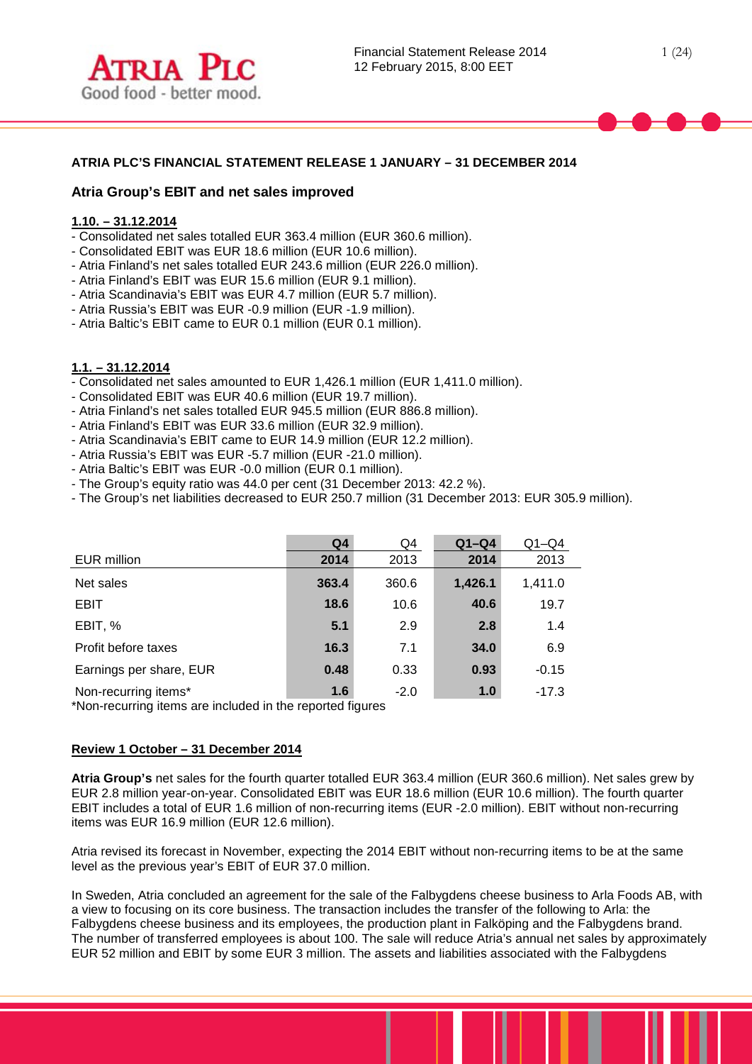

## **ATRIA PLC'S FINANCIAL STATEMENT RELEASE 1 JANUARY – 31 DECEMBER 2014**

## **Atria Group's EBIT and net sales improved**

## **1.10. – 31.12.2014**

- Consolidated net sales totalled EUR 363.4 million (EUR 360.6 million).
- Consolidated EBIT was EUR 18.6 million (EUR 10.6 million).
- Atria Finland's net sales totalled EUR 243.6 million (EUR 226.0 million).
- Atria Finland's EBIT was EUR 15.6 million (EUR 9.1 million).
- Atria Scandinavia's EBIT was EUR 4.7 million (EUR 5.7 million).
- Atria Russia's EBIT was EUR -0.9 million (EUR -1.9 million).
- Atria Baltic's EBIT came to EUR 0.1 million (EUR 0.1 million).

### **1.1. – 31.12.2014**

- Consolidated net sales amounted to EUR 1,426.1 million (EUR 1,411.0 million).
- Consolidated EBIT was EUR 40.6 million (EUR 19.7 million).
- Atria Finland's net sales totalled EUR 945.5 million (EUR 886.8 million).
- Atria Finland's EBIT was EUR 33.6 million (EUR 32.9 million).
- Atria Scandinavia's EBIT came to EUR 14.9 million (EUR 12.2 million).
- Atria Russia's EBIT was EUR -5.7 million (EUR -21.0 million).
- Atria Baltic's EBIT was EUR -0.0 million (EUR 0.1 million).
- The Group's equity ratio was 44.0 per cent (31 December 2013: 42.2 %).
- The Group's net liabilities decreased to EUR 250.7 million (31 December 2013: EUR 305.9 million).

|                                                                                   | Q <sub>4</sub> | Q4     | $Q1-Q4$ | $Q1 - Q4$ |
|-----------------------------------------------------------------------------------|----------------|--------|---------|-----------|
| EUR million                                                                       | 2014           | 2013   | 2014    | 2013      |
| Net sales                                                                         | 363.4          | 360.6  | 1,426.1 | 1,411.0   |
| <b>EBIT</b>                                                                       | 18.6           | 10.6   | 40.6    | 19.7      |
| EBIT, %                                                                           | 5.1            | 2.9    | 2.8     | 1.4       |
| Profit before taxes                                                               | 16.3           | 7.1    | 34.0    | 6.9       |
| Earnings per share, EUR                                                           | 0.48           | 0.33   | 0.93    | $-0.15$   |
| Non-recurring items*<br>*Non-recurring items are included in the reported figures | 1.6            | $-2.0$ | 1.0     | $-17.3$   |

\*Non-recurring items are included in the reported figures

#### **Review 1 October – 31 December 2014**

**Atria Group's** net sales for the fourth quarter totalled EUR 363.4 million (EUR 360.6 million). Net sales grew by EUR 2.8 million year-on-year. Consolidated EBIT was EUR 18.6 million (EUR 10.6 million). The fourth quarter EBIT includes a total of EUR 1.6 million of non-recurring items (EUR -2.0 million). EBIT without non-recurring items was EUR 16.9 million (EUR 12.6 million).

Atria revised its forecast in November, expecting the 2014 EBIT without non-recurring items to be at the same level as the previous year's EBIT of EUR 37.0 million.

In Sweden, Atria concluded an agreement for the sale of the Falbygdens cheese business to Arla Foods AB, with a view to focusing on its core business. The transaction includes the transfer of the following to Arla: the Falbygdens cheese business and its employees, the production plant in Falköping and the Falbygdens brand. The number of transferred employees is about 100. The sale will reduce Atria's annual net sales by approximately EUR 52 million and EBIT by some EUR 3 million. The assets and liabilities associated with the Falbygdens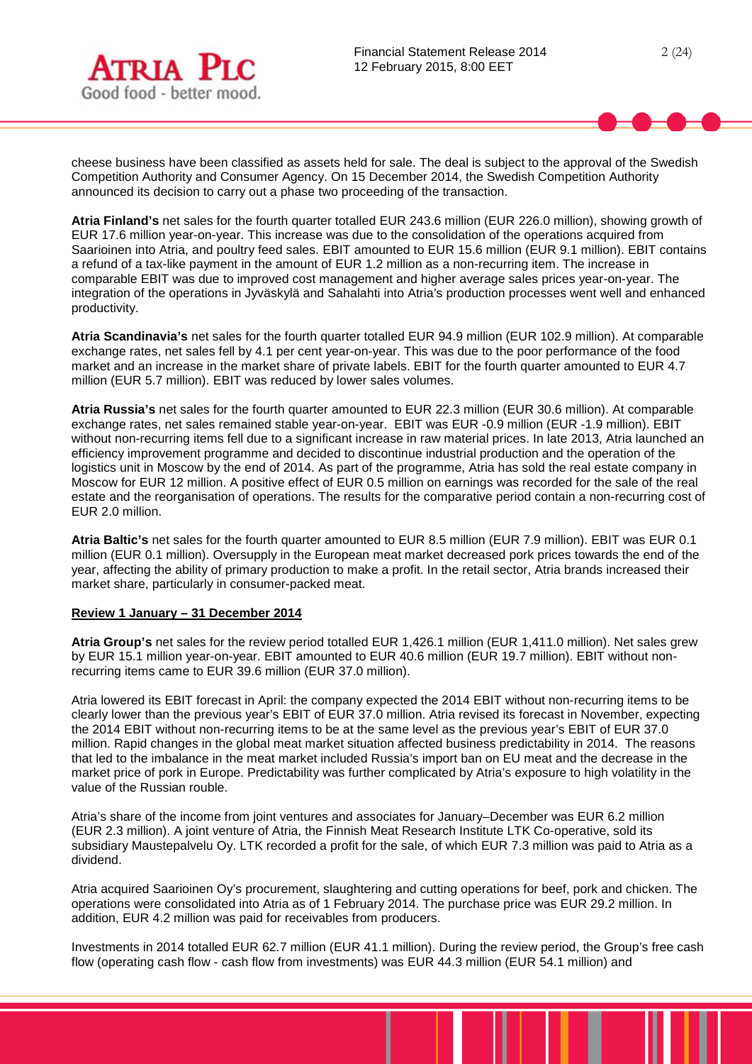

cheese business have been classified as assets held for sale. The deal is subject to the approval of the Swedish Competition Authority and Consumer Agency. On 15 December 2014, the Swedish Competition Authority announced its decision to carry out a phase two proceeding of the transaction.

**Atria Finland's** net sales for the fourth quarter totalled EUR 243.6 million (EUR 226.0 million), showing growth of EUR 17.6 million year-on-year. This increase was due to the consolidation of the operations acquired from Saarioinen into Atria, and poultry feed sales. EBIT amounted to EUR 15.6 million (EUR 9.1 million). EBIT contains a refund of a tax-like payment in the amount of EUR 1.2 million as a non-recurring item. The increase in comparable EBIT was due to improved cost management and higher average sales prices year-on-year. The integration of the operations in Jyväskylä and Sahalahti into Atria's production processes went well and enhanced productivity.

**Atria Scandinavia's** net sales for the fourth quarter totalled EUR 94.9 million (EUR 102.9 million). At comparable exchange rates, net sales fell by 4.1 per cent year-on-year. This was due to the poor performance of the food market and an increase in the market share of private labels. EBIT for the fourth quarter amounted to EUR 4.7 million (EUR 5.7 million). EBIT was reduced by lower sales volumes.

**Atria Russia's** net sales for the fourth quarter amounted to EUR 22.3 million (EUR 30.6 million). At comparable exchange rates, net sales remained stable year-on-year. EBIT was EUR -0.9 million (EUR -1.9 million). EBIT without non-recurring items fell due to a significant increase in raw material prices. In late 2013, Atria launched an efficiency improvement programme and decided to discontinue industrial production and the operation of the logistics unit in Moscow by the end of 2014. As part of the programme, Atria has sold the real estate company in Moscow for EUR 12 million. A positive effect of EUR 0.5 million on earnings was recorded for the sale of the real estate and the reorganisation of operations. The results for the comparative period contain a non-recurring cost of EUR 2.0 million.

**Atria Baltic's** net sales for the fourth quarter amounted to EUR 8.5 million (EUR 7.9 million). EBIT was EUR 0.1 million (EUR 0.1 million). Oversupply in the European meat market decreased pork prices towards the end of the year, affecting the ability of primary production to make a profit. In the retail sector, Atria brands increased their market share, particularly in consumer-packed meat.

## **Review 1 January – 31 December 2014**

**Atria Group's** net sales for the review period totalled EUR 1,426.1 million (EUR 1,411.0 million). Net sales grew by EUR 15.1 million year-on-year. EBIT amounted to EUR 40.6 million (EUR 19.7 million). EBIT without nonrecurring items came to EUR 39.6 million (EUR 37.0 million).

Atria lowered its EBIT forecast in April: the company expected the 2014 EBIT without non-recurring items to be clearly lower than the previous year's EBIT of EUR 37.0 million. Atria revised its forecast in November, expecting the 2014 EBIT without non-recurring items to be at the same level as the previous year's EBIT of EUR 37.0 million. Rapid changes in the global meat market situation affected business predictability in 2014. The reasons that led to the imbalance in the meat market included Russia's import ban on EU meat and the decrease in the market price of pork in Europe. Predictability was further complicated by Atria's exposure to high volatility in the value of the Russian rouble.

Atria's share of the income from joint ventures and associates for January–December was EUR 6.2 million (EUR 2.3 million). A joint venture of Atria, the Finnish Meat Research Institute LTK Co-operative, sold its subsidiary Maustepalvelu Oy. LTK recorded a profit for the sale, of which EUR 7.3 million was paid to Atria as a dividend.

Atria acquired Saarioinen Oy's procurement, slaughtering and cutting operations for beef, pork and chicken. The operations were consolidated into Atria as of 1 February 2014. The purchase price was EUR 29.2 million. In addition, EUR 4.2 million was paid for receivables from producers.

Investments in 2014 totalled EUR 62.7 million (EUR 41.1 million). During the review period, the Group's free cash flow (operating cash flow - cash flow from investments) was EUR 44.3 million (EUR 54.1 million) and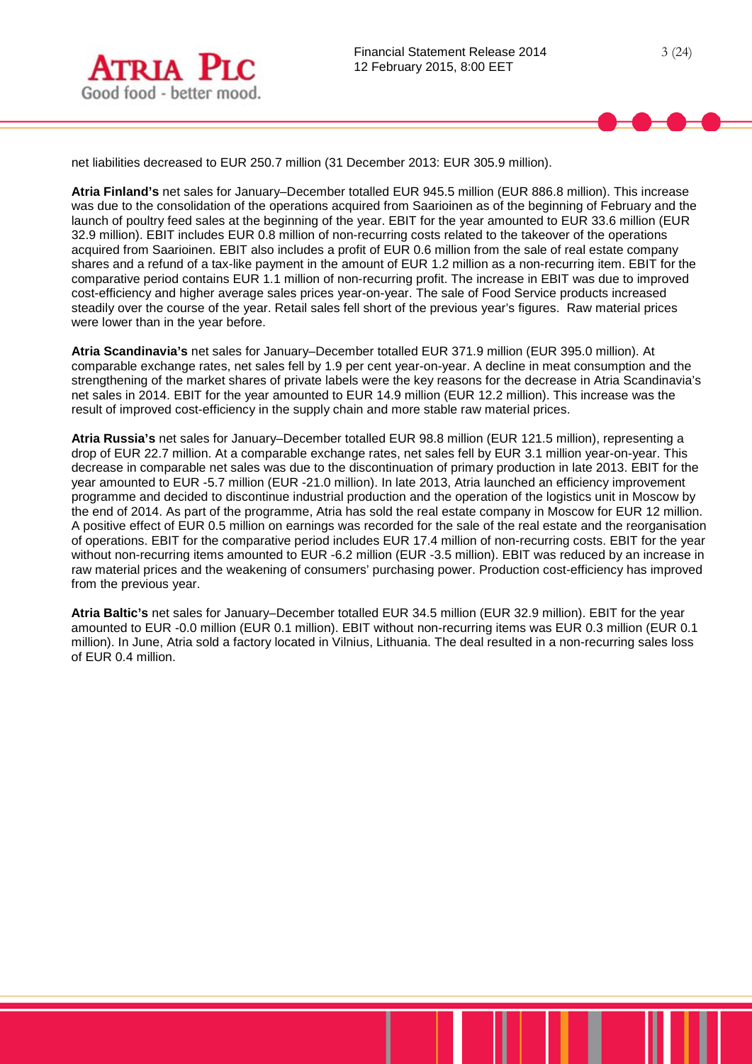net liabilities decreased to EUR 250.7 million (31 December 2013: EUR 305.9 million).

**Atria Finland's** net sales for January–December totalled EUR 945.5 million (EUR 886.8 million). This increase was due to the consolidation of the operations acquired from Saarioinen as of the beginning of February and the launch of poultry feed sales at the beginning of the year. EBIT for the year amounted to EUR 33.6 million (EUR 32.9 million). EBIT includes EUR 0.8 million of non-recurring costs related to the takeover of the operations acquired from Saarioinen. EBIT also includes a profit of EUR 0.6 million from the sale of real estate company shares and a refund of a tax-like payment in the amount of EUR 1.2 million as a non-recurring item. EBIT for the comparative period contains EUR 1.1 million of non-recurring profit. The increase in EBIT was due to improved cost-efficiency and higher average sales prices year-on-year. The sale of Food Service products increased steadily over the course of the year. Retail sales fell short of the previous year's figures. Raw material prices were lower than in the year before.

**Atria Scandinavia's** net sales for January–December totalled EUR 371.9 million (EUR 395.0 million). At comparable exchange rates, net sales fell by 1.9 per cent year-on-year. A decline in meat consumption and the strengthening of the market shares of private labels were the key reasons for the decrease in Atria Scandinavia's net sales in 2014. EBIT for the year amounted to EUR 14.9 million (EUR 12.2 million). This increase was the result of improved cost-efficiency in the supply chain and more stable raw material prices.

**Atria Russia's** net sales for January–December totalled EUR 98.8 million (EUR 121.5 million), representing a drop of EUR 22.7 million. At a comparable exchange rates, net sales fell by EUR 3.1 million year-on-year. This decrease in comparable net sales was due to the discontinuation of primary production in late 2013. EBIT for the year amounted to EUR -5.7 million (EUR -21.0 million). In late 2013, Atria launched an efficiency improvement programme and decided to discontinue industrial production and the operation of the logistics unit in Moscow by the end of 2014. As part of the programme, Atria has sold the real estate company in Moscow for EUR 12 million. A positive effect of EUR 0.5 million on earnings was recorded for the sale of the real estate and the reorganisation of operations. EBIT for the comparative period includes EUR 17.4 million of non-recurring costs. EBIT for the year without non-recurring items amounted to EUR -6.2 million (EUR -3.5 million). EBIT was reduced by an increase in raw material prices and the weakening of consumers' purchasing power. Production cost-efficiency has improved from the previous year.

**Atria Baltic's** net sales for January–December totalled EUR 34.5 million (EUR 32.9 million). EBIT for the year amounted to EUR -0.0 million (EUR 0.1 million). EBIT without non-recurring items was EUR 0.3 million (EUR 0.1 million). In June, Atria sold a factory located in Vilnius, Lithuania. The deal resulted in a non-recurring sales loss of EUR 0.4 million.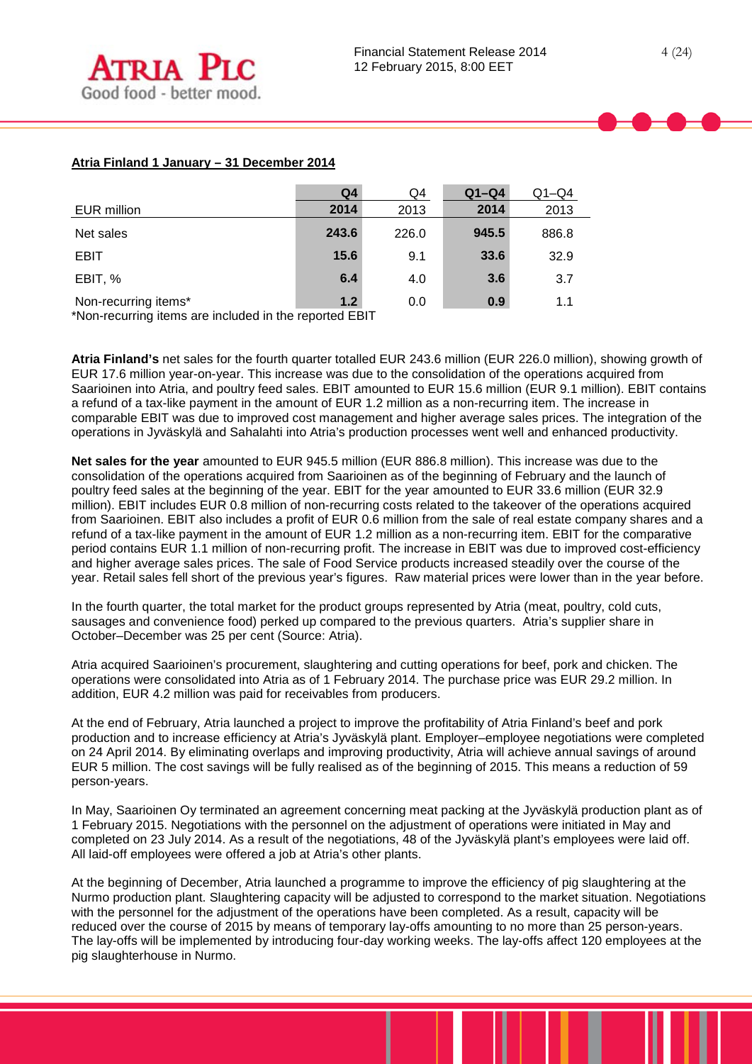## **Atria Finland 1 January – 31 December 2014**

|                      | Q <sub>4</sub> | Q4    | $Q1-Q4$ | $Q1-Q4$ |
|----------------------|----------------|-------|---------|---------|
| EUR million          | 2014           | 2013  | 2014    | 2013    |
| Net sales            | 243.6          | 226.0 | 945.5   | 886.8   |
| <b>EBIT</b>          | 15.6           | 9.1   | 33.6    | 32.9    |
| EBIT, %              | 6.4            | 4.0   | 3.6     | 3.7     |
| Non-recurring items* | 1.2            | 0.0   | 0.9     | 1.1     |

\*Non-recurring items are included in the reported EBIT

**Atria Finland's** net sales for the fourth quarter totalled EUR 243.6 million (EUR 226.0 million), showing growth of EUR 17.6 million year-on-year. This increase was due to the consolidation of the operations acquired from Saarioinen into Atria, and poultry feed sales. EBIT amounted to EUR 15.6 million (EUR 9.1 million). EBIT contains a refund of a tax-like payment in the amount of EUR 1.2 million as a non-recurring item. The increase in comparable EBIT was due to improved cost management and higher average sales prices. The integration of the operations in Jyväskylä and Sahalahti into Atria's production processes went well and enhanced productivity.

**Net sales for the year** amounted to EUR 945.5 million (EUR 886.8 million). This increase was due to the consolidation of the operations acquired from Saarioinen as of the beginning of February and the launch of poultry feed sales at the beginning of the year. EBIT for the year amounted to EUR 33.6 million (EUR 32.9 million). EBIT includes EUR 0.8 million of non-recurring costs related to the takeover of the operations acquired from Saarioinen. EBIT also includes a profit of EUR 0.6 million from the sale of real estate company shares and a refund of a tax-like payment in the amount of EUR 1.2 million as a non-recurring item. EBIT for the comparative period contains EUR 1.1 million of non-recurring profit. The increase in EBIT was due to improved cost-efficiency and higher average sales prices. The sale of Food Service products increased steadily over the course of the year. Retail sales fell short of the previous year's figures. Raw material prices were lower than in the year before.

In the fourth quarter, the total market for the product groups represented by Atria (meat, poultry, cold cuts, sausages and convenience food) perked up compared to the previous quarters. Atria's supplier share in October–December was 25 per cent (Source: Atria).

Atria acquired Saarioinen's procurement, slaughtering and cutting operations for beef, pork and chicken. The operations were consolidated into Atria as of 1 February 2014. The purchase price was EUR 29.2 million. In addition, EUR 4.2 million was paid for receivables from producers.

At the end of February, Atria launched a project to improve the profitability of Atria Finland's beef and pork production and to increase efficiency at Atria's Jyväskylä plant. Employer–employee negotiations were completed on 24 April 2014. By eliminating overlaps and improving productivity, Atria will achieve annual savings of around EUR 5 million. The cost savings will be fully realised as of the beginning of 2015. This means a reduction of 59 person-years.

In May, Saarioinen Oy terminated an agreement concerning meat packing at the Jyväskylä production plant as of 1 February 2015. Negotiations with the personnel on the adjustment of operations were initiated in May and completed on 23 July 2014. As a result of the negotiations, 48 of the Jyväskylä plant's employees were laid off. All laid-off employees were offered a job at Atria's other plants.

At the beginning of December, Atria launched a programme to improve the efficiency of pig slaughtering at the Nurmo production plant. Slaughtering capacity will be adjusted to correspond to the market situation. Negotiations with the personnel for the adjustment of the operations have been completed. As a result, capacity will be reduced over the course of 2015 by means of temporary lay-offs amounting to no more than 25 person-years. The lay-offs will be implemented by introducing four-day working weeks. The lay-offs affect 120 employees at the pig slaughterhouse in Nurmo.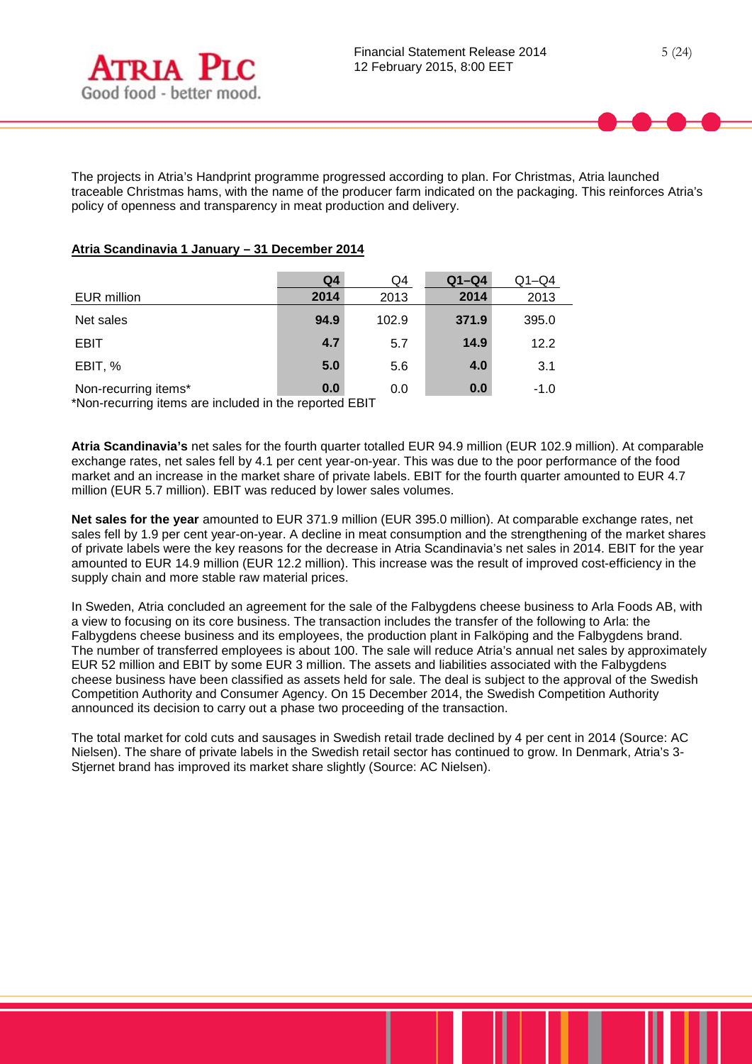

The projects in Atria's Handprint programme progressed according to plan. For Christmas, Atria launched traceable Christmas hams, with the name of the producer farm indicated on the packaging. This reinforces Atria's policy of openness and transparency in meat production and delivery.

## **Atria Scandinavia 1 January – 31 December 2014**

|                      | Q4   | Q4    | $Q1-Q4$ | $Q1 - Q4$ |
|----------------------|------|-------|---------|-----------|
| EUR million          | 2014 | 2013  | 2014    | 2013      |
| Net sales            | 94.9 | 102.9 | 371.9   | 395.0     |
| <b>EBIT</b>          | 4.7  | 5.7   | 14.9    | 12.2      |
| EBIT, %              | 5.0  | 5.6   | 4.0     | 3.1       |
| Non-recurring items* | 0.0  | 0.0   | 0.0     | $-1.0$    |

\*Non-recurring items are included in the reported EBIT

**Atria Scandinavia's** net sales for the fourth quarter totalled EUR 94.9 million (EUR 102.9 million). At comparable exchange rates, net sales fell by 4.1 per cent year-on-year. This was due to the poor performance of the food market and an increase in the market share of private labels. EBIT for the fourth quarter amounted to EUR 4.7 million (EUR 5.7 million). EBIT was reduced by lower sales volumes.

**Net sales for the year** amounted to EUR 371.9 million (EUR 395.0 million). At comparable exchange rates, net sales fell by 1.9 per cent year-on-year. A decline in meat consumption and the strengthening of the market shares of private labels were the key reasons for the decrease in Atria Scandinavia's net sales in 2014. EBIT for the year amounted to EUR 14.9 million (EUR 12.2 million). This increase was the result of improved cost-efficiency in the supply chain and more stable raw material prices.

In Sweden, Atria concluded an agreement for the sale of the Falbygdens cheese business to Arla Foods AB, with a view to focusing on its core business. The transaction includes the transfer of the following to Arla: the Falbygdens cheese business and its employees, the production plant in Falköping and the Falbygdens brand. The number of transferred employees is about 100. The sale will reduce Atria's annual net sales by approximately EUR 52 million and EBIT by some EUR 3 million. The assets and liabilities associated with the Falbygdens cheese business have been classified as assets held for sale. The deal is subject to the approval of the Swedish Competition Authority and Consumer Agency. On 15 December 2014, the Swedish Competition Authority announced its decision to carry out a phase two proceeding of the transaction.

The total market for cold cuts and sausages in Swedish retail trade declined by 4 per cent in 2014 (Source: AC Nielsen). The share of private labels in the Swedish retail sector has continued to grow. In Denmark, Atria's 3- Stjernet brand has improved its market share slightly (Source: AC Nielsen).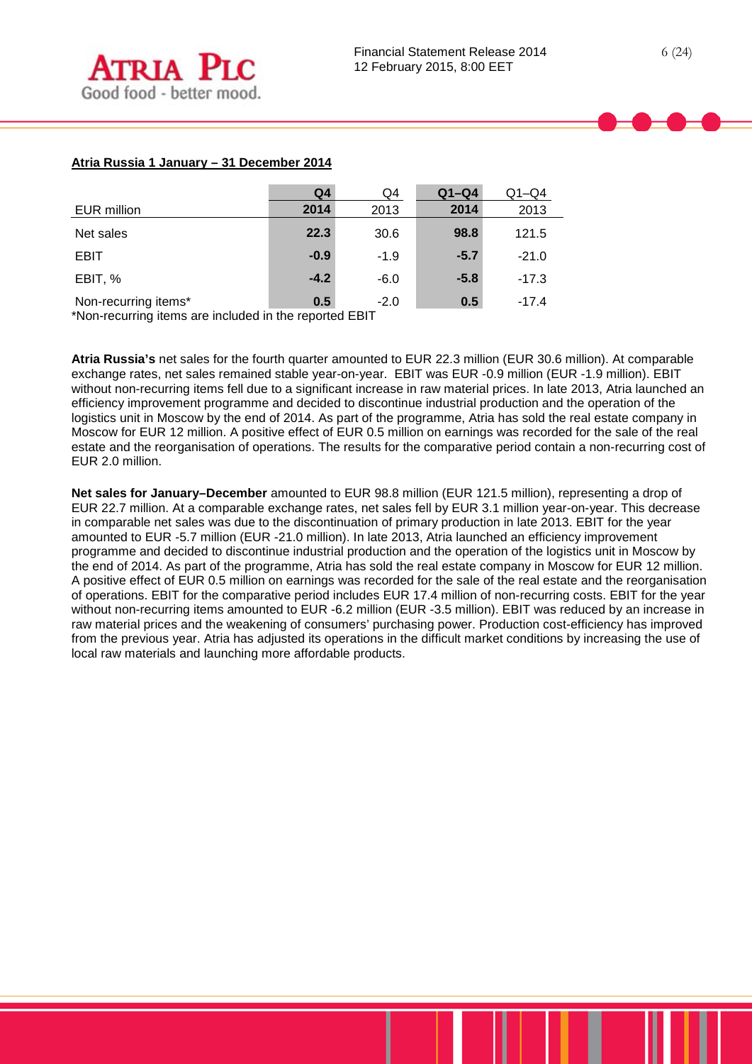## **Atria Russia 1 January – 31 December 2014**

|                      | Q <sub>4</sub> | Q4     | $Q1-Q4$ | $Q1 - Q4$ |
|----------------------|----------------|--------|---------|-----------|
| EUR million          | 2014           | 2013   | 2014    | 2013      |
| Net sales            | 22.3           | 30.6   | 98.8    | 121.5     |
| <b>EBIT</b>          | $-0.9$         | $-1.9$ | $-5.7$  | $-21.0$   |
| EBIT, %              | $-4.2$         | $-6.0$ | $-5.8$  | $-17.3$   |
| Non-recurring items* | 0.5            | $-2.0$ | 0.5     | $-17.4$   |

\*Non-recurring items are included in the reported EBIT

**Atria Russia's** net sales for the fourth quarter amounted to EUR 22.3 million (EUR 30.6 million). At comparable exchange rates, net sales remained stable year-on-year. EBIT was EUR -0.9 million (EUR -1.9 million). EBIT without non-recurring items fell due to a significant increase in raw material prices. In late 2013, Atria launched an efficiency improvement programme and decided to discontinue industrial production and the operation of the logistics unit in Moscow by the end of 2014. As part of the programme, Atria has sold the real estate company in Moscow for EUR 12 million. A positive effect of EUR 0.5 million on earnings was recorded for the sale of the real estate and the reorganisation of operations. The results for the comparative period contain a non-recurring cost of EUR 2.0 million.

**Net sales for January–December** amounted to EUR 98.8 million (EUR 121.5 million), representing a drop of EUR 22.7 million. At a comparable exchange rates, net sales fell by EUR 3.1 million year-on-year. This decrease in comparable net sales was due to the discontinuation of primary production in late 2013. EBIT for the year amounted to EUR -5.7 million (EUR -21.0 million). In late 2013, Atria launched an efficiency improvement programme and decided to discontinue industrial production and the operation of the logistics unit in Moscow by the end of 2014. As part of the programme, Atria has sold the real estate company in Moscow for EUR 12 million. A positive effect of EUR 0.5 million on earnings was recorded for the sale of the real estate and the reorganisation of operations. EBIT for the comparative period includes EUR 17.4 million of non-recurring costs. EBIT for the year without non-recurring items amounted to EUR -6.2 million (EUR -3.5 million). EBIT was reduced by an increase in raw material prices and the weakening of consumers' purchasing power. Production cost-efficiency has improved from the previous year. Atria has adjusted its operations in the difficult market conditions by increasing the use of local raw materials and launching more affordable products.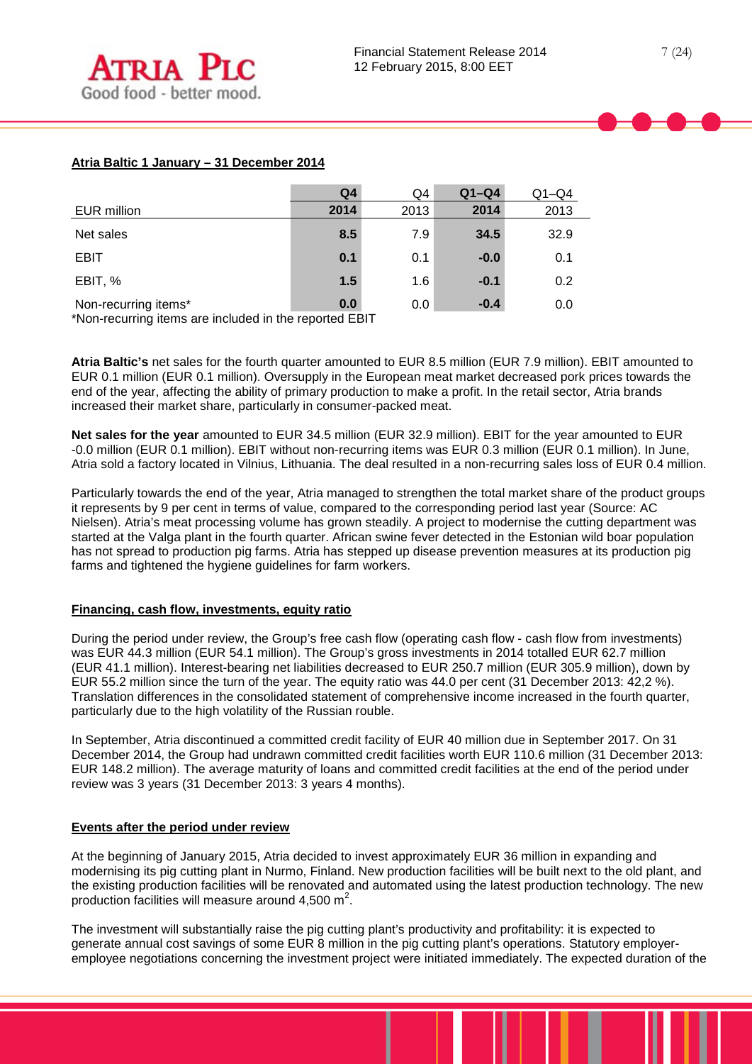## **Atria Baltic 1 January – 31 December 2014**

|                                                                                                                   | Q <sub>4</sub> | Q4   | $Q1-Q4$ | $Q1 - Q4$ |
|-------------------------------------------------------------------------------------------------------------------|----------------|------|---------|-----------|
| <b>EUR</b> million                                                                                                | 2014           | 2013 | 2014    | 2013      |
| Net sales                                                                                                         | 8.5            | 7.9  | 34.5    | 32.9      |
| <b>EBIT</b>                                                                                                       | 0.1            | 0.1  | $-0.0$  | 0.1       |
| EBIT, %                                                                                                           | 1.5            | 1.6  | $-0.1$  | 0.2       |
| Non-recurring items*<br>48. In the contract of the contract of the first theory of the contract of $\blacksquare$ | 0.0            | 0.0  | $-0.4$  | 0.0       |

\*Non-recurring items are included in the reported EBIT

**Atria Baltic's** net sales for the fourth quarter amounted to EUR 8.5 million (EUR 7.9 million). EBIT amounted to EUR 0.1 million (EUR 0.1 million). Oversupply in the European meat market decreased pork prices towards the end of the year, affecting the ability of primary production to make a profit. In the retail sector, Atria brands increased their market share, particularly in consumer-packed meat.

**Net sales for the year** amounted to EUR 34.5 million (EUR 32.9 million). EBIT for the year amounted to EUR -0.0 million (EUR 0.1 million). EBIT without non-recurring items was EUR 0.3 million (EUR 0.1 million). In June, Atria sold a factory located in Vilnius, Lithuania. The deal resulted in a non-recurring sales loss of EUR 0.4 million.

Particularly towards the end of the year, Atria managed to strengthen the total market share of the product groups it represents by 9 per cent in terms of value, compared to the corresponding period last year (Source: AC Nielsen). Atria's meat processing volume has grown steadily. A project to modernise the cutting department was started at the Valga plant in the fourth quarter. African swine fever detected in the Estonian wild boar population has not spread to production pig farms. Atria has stepped up disease prevention measures at its production pig farms and tightened the hygiene guidelines for farm workers.

## **Financing, cash flow, investments, equity ratio**

During the period under review, the Group's free cash flow (operating cash flow - cash flow from investments) was EUR 44.3 million (EUR 54.1 million). The Group's gross investments in 2014 totalled EUR 62.7 million (EUR 41.1 million). Interest-bearing net liabilities decreased to EUR 250.7 million (EUR 305.9 million), down by EUR 55.2 million since the turn of the year. The equity ratio was 44.0 per cent (31 December 2013: 42,2 %). Translation differences in the consolidated statement of comprehensive income increased in the fourth quarter, particularly due to the high volatility of the Russian rouble.

In September, Atria discontinued a committed credit facility of EUR 40 million due in September 2017. On 31 December 2014, the Group had undrawn committed credit facilities worth EUR 110.6 million (31 December 2013: EUR 148.2 million). The average maturity of loans and committed credit facilities at the end of the period under review was 3 years (31 December 2013: 3 years 4 months).

## **Events after the period under review**

At the beginning of January 2015, Atria decided to invest approximately EUR 36 million in expanding and modernising its pig cutting plant in Nurmo, Finland. New production facilities will be built next to the old plant, and the existing production facilities will be renovated and automated using the latest production technology. The new production facilities will measure around  $4,500 \text{ m}^2$ .

The investment will substantially raise the pig cutting plant's productivity and profitability: it is expected to generate annual cost savings of some EUR 8 million in the pig cutting plant's operations. Statutory employeremployee negotiations concerning the investment project were initiated immediately. The expected duration of the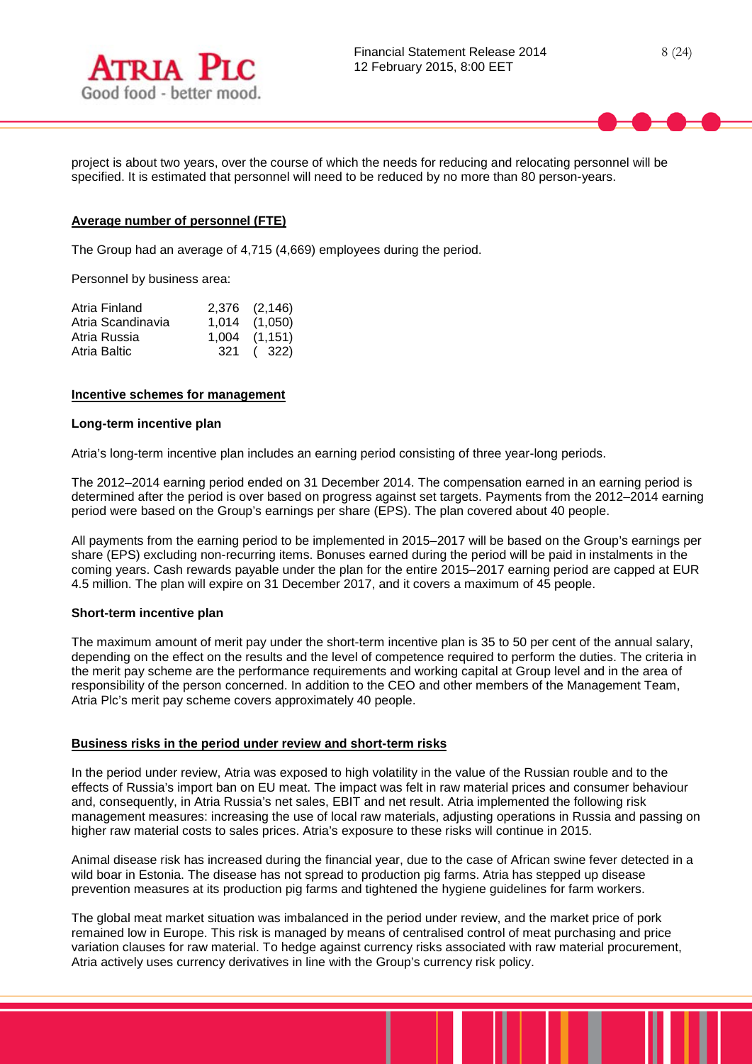



project is about two years, over the course of which the needs for reducing and relocating personnel will be specified. It is estimated that personnel will need to be reduced by no more than 80 person-years.

#### **Average number of personnel (FTE)**

The Group had an average of 4,715 (4,669) employees during the period.

Personnel by business area:

| Atria Finland     | 2,376 (2,146)     |
|-------------------|-------------------|
| Atria Scandinavia | $1,014$ $(1,050)$ |
| Atria Russia      | $1,004$ $(1,151)$ |
| Atria Baltic      | 321 (322)         |

#### **Incentive schemes for management**

#### **Long-term incentive plan**

Atria's long-term incentive plan includes an earning period consisting of three year-long periods.

The 2012–2014 earning period ended on 31 December 2014. The compensation earned in an earning period is determined after the period is over based on progress against set targets. Payments from the 2012–2014 earning period were based on the Group's earnings per share (EPS). The plan covered about 40 people.

All payments from the earning period to be implemented in 2015–2017 will be based on the Group's earnings per share (EPS) excluding non-recurring items. Bonuses earned during the period will be paid in instalments in the coming years. Cash rewards payable under the plan for the entire 2015–2017 earning period are capped at EUR 4.5 million. The plan will expire on 31 December 2017, and it covers a maximum of 45 people.

#### **Short-term incentive plan**

The maximum amount of merit pay under the short-term incentive plan is 35 to 50 per cent of the annual salary, depending on the effect on the results and the level of competence required to perform the duties. The criteria in the merit pay scheme are the performance requirements and working capital at Group level and in the area of responsibility of the person concerned. In addition to the CEO and other members of the Management Team, Atria Plc's merit pay scheme covers approximately 40 people.

#### **Business risks in the period under review and short-term risks**

In the period under review, Atria was exposed to high volatility in the value of the Russian rouble and to the effects of Russia's import ban on EU meat. The impact was felt in raw material prices and consumer behaviour and, consequently, in Atria Russia's net sales, EBIT and net result. Atria implemented the following risk management measures: increasing the use of local raw materials, adjusting operations in Russia and passing on higher raw material costs to sales prices. Atria's exposure to these risks will continue in 2015.

Animal disease risk has increased during the financial year, due to the case of African swine fever detected in a wild boar in Estonia. The disease has not spread to production pig farms. Atria has stepped up disease prevention measures at its production pig farms and tightened the hygiene guidelines for farm workers.

The global meat market situation was imbalanced in the period under review, and the market price of pork remained low in Europe. This risk is managed by means of centralised control of meat purchasing and price variation clauses for raw material. To hedge against currency risks associated with raw material procurement, Atria actively uses currency derivatives in line with the Group's currency risk policy.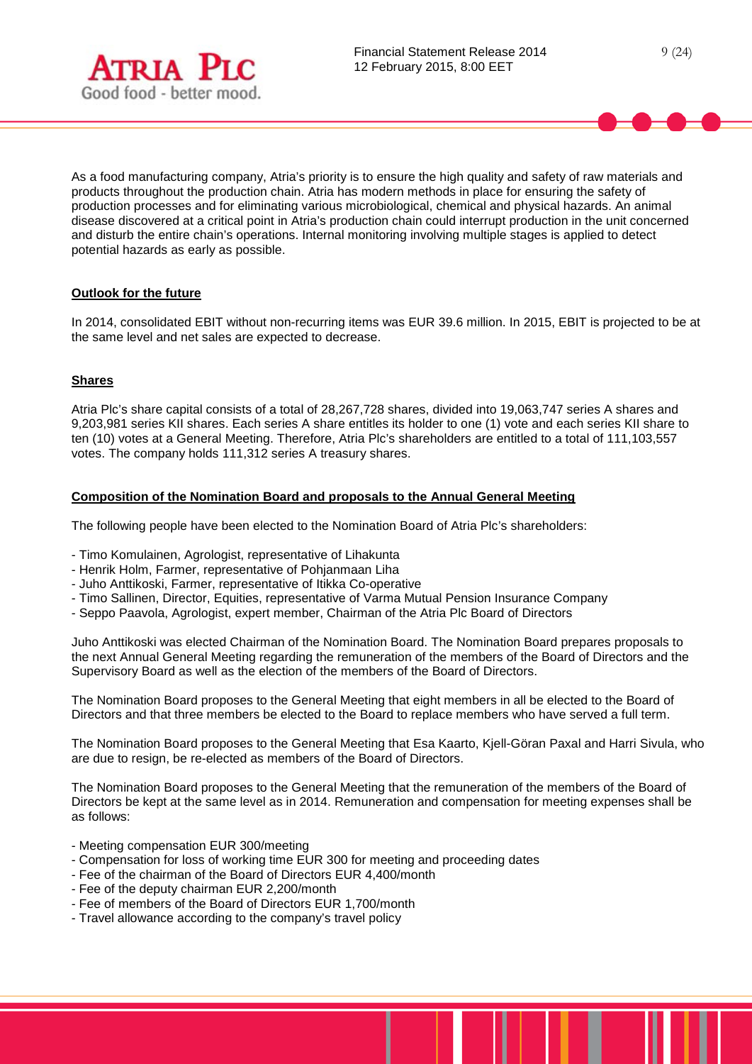



As a food manufacturing company, Atria's priority is to ensure the high quality and safety of raw materials and products throughout the production chain. Atria has modern methods in place for ensuring the safety of production processes and for eliminating various microbiological, chemical and physical hazards. An animal disease discovered at a critical point in Atria's production chain could interrupt production in the unit concerned and disturb the entire chain's operations. Internal monitoring involving multiple stages is applied to detect potential hazards as early as possible.

## **Outlook for the future**

In 2014, consolidated EBIT without non-recurring items was EUR 39.6 million. In 2015, EBIT is projected to be at the same level and net sales are expected to decrease.

## **Shares**

Atria Plc's share capital consists of a total of 28,267,728 shares, divided into 19,063,747 series A shares and 9,203,981 series KII shares. Each series A share entitles its holder to one (1) vote and each series KII share to ten (10) votes at a General Meeting. Therefore, Atria Plc's shareholders are entitled to a total of 111,103,557 votes. The company holds 111,312 series A treasury shares.

## **Composition of the Nomination Board and proposals to the Annual General Meeting**

The following people have been elected to the Nomination Board of Atria Plc's shareholders:

- Timo Komulainen, Agrologist, representative of Lihakunta
- Henrik Holm, Farmer, representative of Pohjanmaan Liha
- Juho Anttikoski, Farmer, representative of Itikka Co-operative
- Timo Sallinen, Director, Equities, representative of Varma Mutual Pension Insurance Company
- Seppo Paavola, Agrologist, expert member, Chairman of the Atria Plc Board of Directors

Juho Anttikoski was elected Chairman of the Nomination Board. The Nomination Board prepares proposals to the next Annual General Meeting regarding the remuneration of the members of the Board of Directors and the Supervisory Board as well as the election of the members of the Board of Directors.

The Nomination Board proposes to the General Meeting that eight members in all be elected to the Board of Directors and that three members be elected to the Board to replace members who have served a full term.

The Nomination Board proposes to the General Meeting that Esa Kaarto, Kjell-Göran Paxal and Harri Sivula, who are due to resign, be re-elected as members of the Board of Directors.

The Nomination Board proposes to the General Meeting that the remuneration of the members of the Board of Directors be kept at the same level as in 2014. Remuneration and compensation for meeting expenses shall be as follows:

- Meeting compensation EUR 300/meeting
- Compensation for loss of working time EUR 300 for meeting and proceeding dates
- Fee of the chairman of the Board of Directors EUR 4,400/month
- Fee of the deputy chairman EUR 2,200/month
- Fee of members of the Board of Directors EUR 1,700/month
- Travel allowance according to the company's travel policy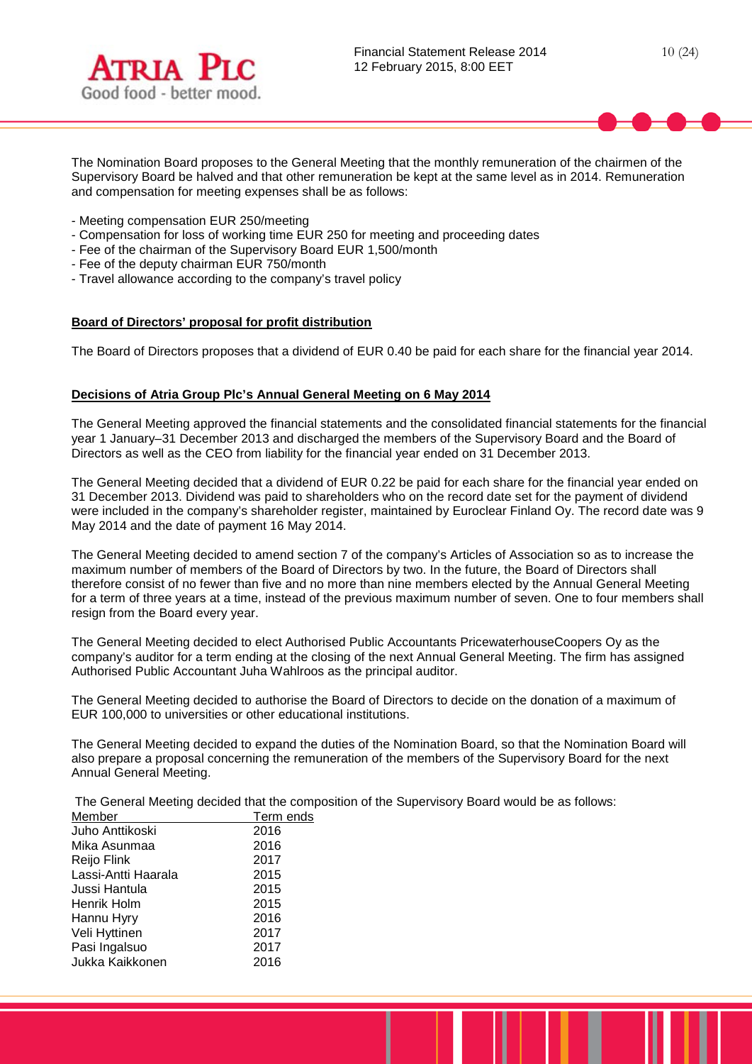



The Nomination Board proposes to the General Meeting that the monthly remuneration of the chairmen of the Supervisory Board be halved and that other remuneration be kept at the same level as in 2014. Remuneration and compensation for meeting expenses shall be as follows:

- Meeting compensation EUR 250/meeting
- Compensation for loss of working time EUR 250 for meeting and proceeding dates
- Fee of the chairman of the Supervisory Board EUR 1,500/month
- Fee of the deputy chairman EUR 750/month
- Travel allowance according to the company's travel policy

### **Board of Directors' proposal for profit distribution**

The Board of Directors proposes that a dividend of EUR 0.40 be paid for each share for the financial year 2014.

### **Decisions of Atria Group Plc's Annual General Meeting on 6 May 2014**

The General Meeting approved the financial statements and the consolidated financial statements for the financial year 1 January–31 December 2013 and discharged the members of the Supervisory Board and the Board of Directors as well as the CEO from liability for the financial year ended on 31 December 2013.

The General Meeting decided that a dividend of EUR 0.22 be paid for each share for the financial year ended on 31 December 2013. Dividend was paid to shareholders who on the record date set for the payment of dividend were included in the company's shareholder register, maintained by Euroclear Finland Oy. The record date was 9 May 2014 and the date of payment 16 May 2014.

The General Meeting decided to amend section 7 of the company's Articles of Association so as to increase the maximum number of members of the Board of Directors by two. In the future, the Board of Directors shall therefore consist of no fewer than five and no more than nine members elected by the Annual General Meeting for a term of three years at a time, instead of the previous maximum number of seven. One to four members shall resign from the Board every year.

The General Meeting decided to elect Authorised Public Accountants PricewaterhouseCoopers Oy as the company's auditor for a term ending at the closing of the next Annual General Meeting. The firm has assigned Authorised Public Accountant Juha Wahlroos as the principal auditor.

The General Meeting decided to authorise the Board of Directors to decide on the donation of a maximum of EUR 100,000 to universities or other educational institutions.

The General Meeting decided to expand the duties of the Nomination Board, so that the Nomination Board will also prepare a proposal concerning the remuneration of the members of the Supervisory Board for the next Annual General Meeting.

The General Meeting decided that the composition of the Supervisory Board would be as follows:

| Member              | Term ends |
|---------------------|-----------|
| Juho Anttikoski     | 2016      |
| Mika Asunmaa        | 2016      |
| Reijo Flink         | 2017      |
| Lassi-Antti Haarala | 2015      |
| Jussi Hantula       | 2015      |
| Henrik Holm         | 2015      |
| Hannu Hyry          | 2016      |
| Veli Hyttinen       | 2017      |
| Pasi Ingalsuo       | 2017      |
| Jukka Kaikkonen     | 2016      |
|                     |           |

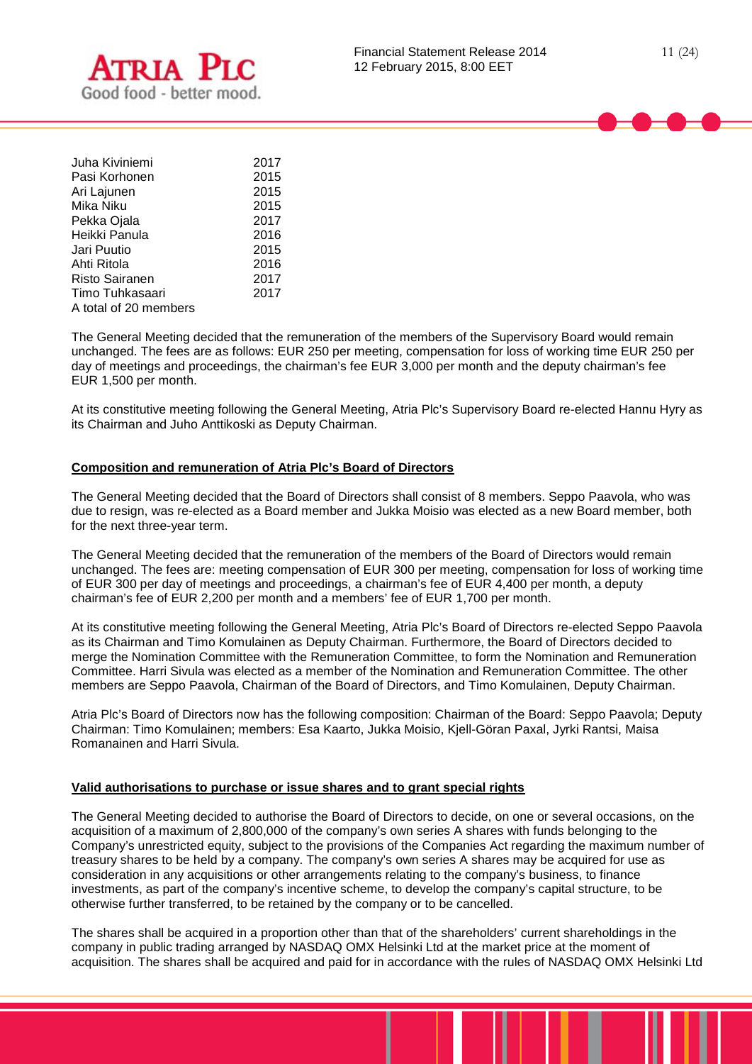

| Juha Kiviniemi  | 2017 |
|-----------------|------|
| Pasi Korhonen   | 2015 |
| Ari Lajunen     | 2015 |
| Mika Niku       | 2015 |
| Pekka Ojala     | 2017 |
| Heikki Panula   | 2016 |
| Jari Puutio     | 2015 |
| Ahti Ritola     | 2016 |
| Risto Sairanen  | 2017 |
| Timo Tuhkasaari | 2017 |
|                 |      |

A total of 20 members

The General Meeting decided that the remuneration of the members of the Supervisory Board would remain unchanged. The fees are as follows: EUR 250 per meeting, compensation for loss of working time EUR 250 per day of meetings and proceedings, the chairman's fee EUR 3,000 per month and the deputy chairman's fee EUR 1,500 per month.

At its constitutive meeting following the General Meeting, Atria Plc's Supervisory Board re-elected Hannu Hyry as its Chairman and Juho Anttikoski as Deputy Chairman.

## **Composition and remuneration of Atria Plc's Board of Directors**

The General Meeting decided that the Board of Directors shall consist of 8 members. Seppo Paavola, who was due to resign, was re-elected as a Board member and Jukka Moisio was elected as a new Board member, both for the next three-year term.

The General Meeting decided that the remuneration of the members of the Board of Directors would remain unchanged. The fees are: meeting compensation of EUR 300 per meeting, compensation for loss of working time of EUR 300 per day of meetings and proceedings, a chairman's fee of EUR 4,400 per month, a deputy chairman's fee of EUR 2,200 per month and a members' fee of EUR 1,700 per month.

At its constitutive meeting following the General Meeting, Atria Plc's Board of Directors re-elected Seppo Paavola as its Chairman and Timo Komulainen as Deputy Chairman. Furthermore, the Board of Directors decided to merge the Nomination Committee with the Remuneration Committee, to form the Nomination and Remuneration Committee. Harri Sivula was elected as a member of the Nomination and Remuneration Committee. The other members are Seppo Paavola, Chairman of the Board of Directors, and Timo Komulainen, Deputy Chairman.

Atria Plc's Board of Directors now has the following composition: Chairman of the Board: Seppo Paavola; Deputy Chairman: Timo Komulainen; members: Esa Kaarto, Jukka Moisio, Kjell-Göran Paxal, Jyrki Rantsi, Maisa Romanainen and Harri Sivula.

## **Valid authorisations to purchase or issue shares and to grant special rights**

The General Meeting decided to authorise the Board of Directors to decide, on one or several occasions, on the acquisition of a maximum of 2,800,000 of the company's own series A shares with funds belonging to the Company's unrestricted equity, subject to the provisions of the Companies Act regarding the maximum number of treasury shares to be held by a company. The company's own series A shares may be acquired for use as consideration in any acquisitions or other arrangements relating to the company's business, to finance investments, as part of the company's incentive scheme, to develop the company's capital structure, to be otherwise further transferred, to be retained by the company or to be cancelled.

The shares shall be acquired in a proportion other than that of the shareholders' current shareholdings in the company in public trading arranged by NASDAQ OMX Helsinki Ltd at the market price at the moment of acquisition. The shares shall be acquired and paid for in accordance with the rules of NASDAQ OMX Helsinki Ltd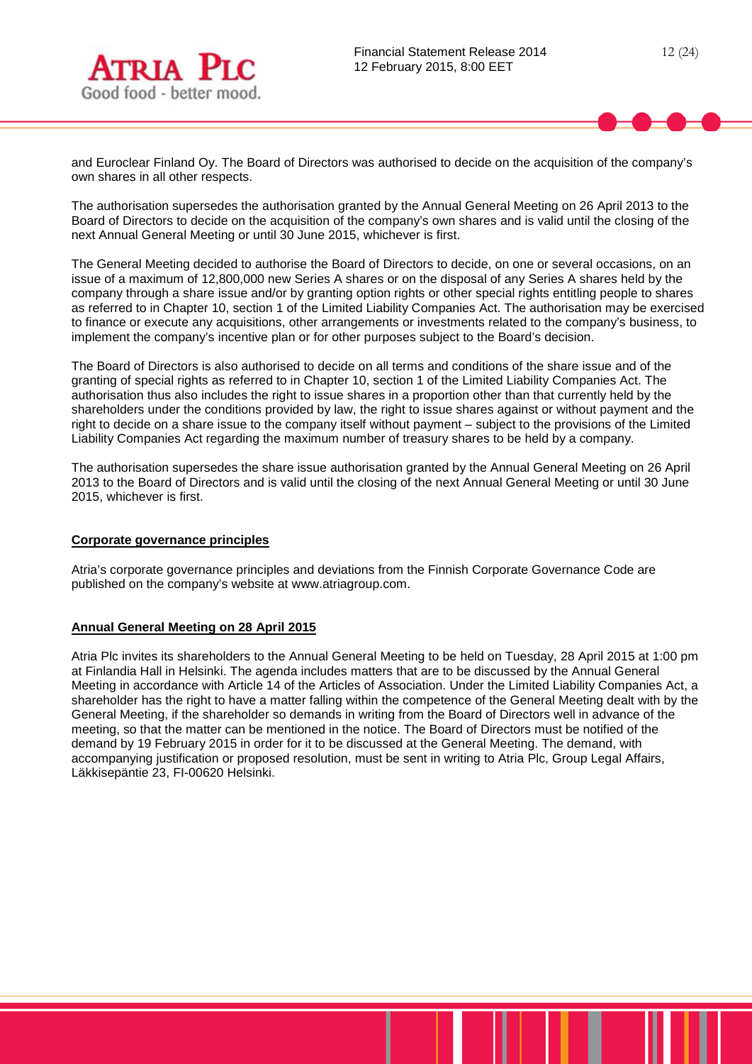

and Euroclear Finland Oy. The Board of Directors was authorised to decide on the acquisition of the company's own shares in all other respects.

The authorisation supersedes the authorisation granted by the Annual General Meeting on 26 April 2013 to the Board of Directors to decide on the acquisition of the company's own shares and is valid until the closing of the next Annual General Meeting or until 30 June 2015, whichever is first.

The General Meeting decided to authorise the Board of Directors to decide, on one or several occasions, on an issue of a maximum of 12,800,000 new Series A shares or on the disposal of any Series A shares held by the company through a share issue and/or by granting option rights or other special rights entitling people to shares as referred to in Chapter 10, section 1 of the Limited Liability Companies Act. The authorisation may be exercised to finance or execute any acquisitions, other arrangements or investments related to the company's business, to implement the company's incentive plan or for other purposes subject to the Board's decision.

The Board of Directors is also authorised to decide on all terms and conditions of the share issue and of the granting of special rights as referred to in Chapter 10, section 1 of the Limited Liability Companies Act. The authorisation thus also includes the right to issue shares in a proportion other than that currently held by the shareholders under the conditions provided by law, the right to issue shares against or without payment and the right to decide on a share issue to the company itself without payment – subject to the provisions of the Limited Liability Companies Act regarding the maximum number of treasury shares to be held by a company.

The authorisation supersedes the share issue authorisation granted by the Annual General Meeting on 26 April 2013 to the Board of Directors and is valid until the closing of the next Annual General Meeting or until 30 June 2015, whichever is first.

#### **Corporate governance principles**

Atria's corporate governance principles and deviations from the Finnish Corporate Governance Code are published on the company's website at www.atriagroup.com.

#### **Annual General Meeting on 28 April 2015**

Atria Plc invites its shareholders to the Annual General Meeting to be held on Tuesday, 28 April 2015 at 1:00 pm at Finlandia Hall in Helsinki. The agenda includes matters that are to be discussed by the Annual General Meeting in accordance with Article 14 of the Articles of Association. Under the Limited Liability Companies Act, a shareholder has the right to have a matter falling within the competence of the General Meeting dealt with by the General Meeting, if the shareholder so demands in writing from the Board of Directors well in advance of the meeting, so that the matter can be mentioned in the notice. The Board of Directors must be notified of the demand by 19 February 2015 in order for it to be discussed at the General Meeting. The demand, with accompanying justification or proposed resolution, must be sent in writing to Atria Plc, Group Legal Affairs, Läkkisepäntie 23, FI-00620 Helsinki.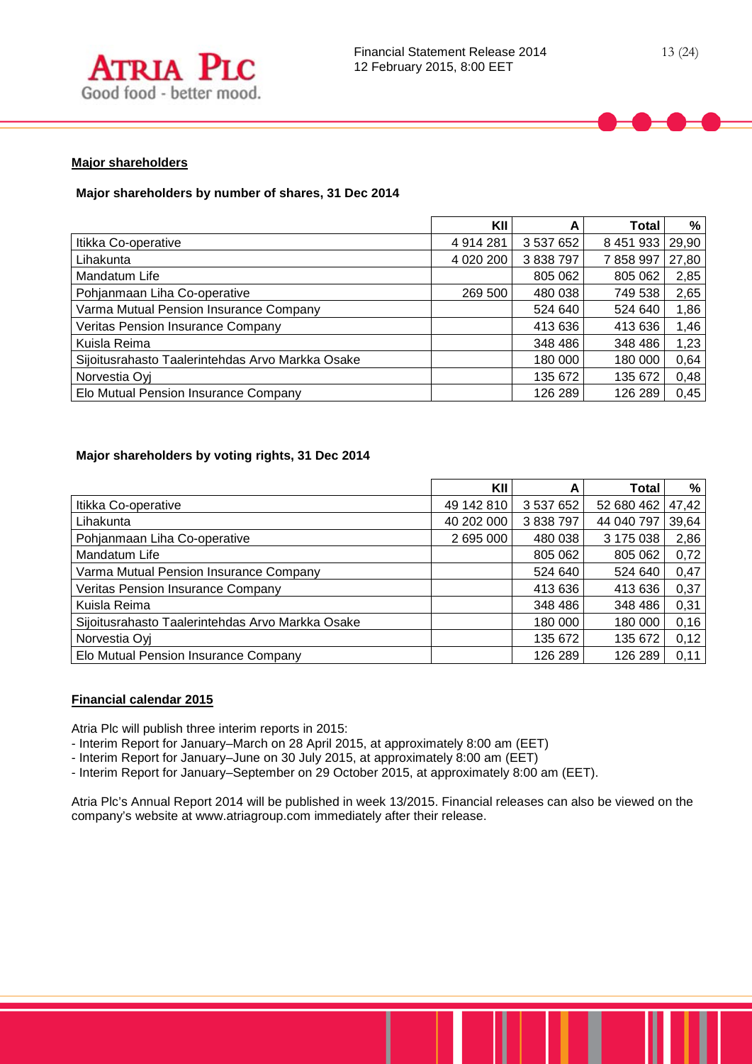



# **Major shareholders**

# **Major shareholders by number of shares, 31 Dec 2014**

|                                                  | KII         | А         | Total     | %     |
|--------------------------------------------------|-------------|-----------|-----------|-------|
| Itikka Co-operative                              | 4914281     | 3 537 652 | 8 451 933 | 29,90 |
| Lihakunta                                        | 4 0 20 20 0 | 3 838 797 | 7858997   | 27,80 |
| Mandatum Life                                    |             | 805 062   | 805 062   | 2,85  |
| Pohjanmaan Liha Co-operative                     | 269 500     | 480 038   | 749 538   | 2,65  |
| Varma Mutual Pension Insurance Company           |             | 524 640   | 524 640   | 1,86  |
| <b>Veritas Pension Insurance Company</b>         |             | 413 636   | 413 636   | 1,46  |
| Kuisla Reima                                     |             | 348 486   | 348 486   | 1,23  |
| Sijoitusrahasto Taalerintehdas Arvo Markka Osake |             | 180 000   | 180 000   | 0,64  |
| Norvestia Oyj                                    |             | 135 672   | 135 672   | 0,48  |
| Elo Mutual Pension Insurance Company             |             | 126 289   | 126 289   | 0,45  |

# **Major shareholders by voting rights, 31 Dec 2014**

|                                                  | KII        | А         | Total      | %     |
|--------------------------------------------------|------------|-----------|------------|-------|
| Itikka Co-operative                              | 49 142 810 | 3 537 652 | 52 680 462 | 47,42 |
| Lihakunta                                        | 40 202 000 | 3 838 797 | 44 040 797 | 39,64 |
| Pohjanmaan Liha Co-operative                     | 2 695 000  | 480 038   | 3 175 038  | 2,86  |
| Mandatum Life                                    |            | 805 062   | 805 062    | 0,72  |
| Varma Mutual Pension Insurance Company           |            | 524 640   | 524 640    | 0,47  |
| Veritas Pension Insurance Company                |            | 413 636   | 413 636    | 0,37  |
| Kuisla Reima                                     |            | 348 486   | 348 486    | 0,31  |
| Sijoitusrahasto Taalerintehdas Arvo Markka Osake |            | 180 000   | 180 000    | 0,16  |
| Norvestia Oyj                                    |            | 135 672   | 135 672    | 0,12  |
| Elo Mutual Pension Insurance Company             |            | 126 289   | 126 289    | 0,11  |

# **Financial calendar 2015**

Atria Plc will publish three interim reports in 2015:

- Interim Report for January–March on 28 April 2015, at approximately 8:00 am (EET)

- Interim Report for January-June on 30 July 2015, at approximately 8:00 am (EET)

- Interim Report for January–September on 29 October 2015, at approximately 8:00 am (EET).

Atria Plc's Annual Report 2014 will be published in week 13/2015. Financial releases can also be viewed on the company's website at www.atriagroup.com immediately after their release.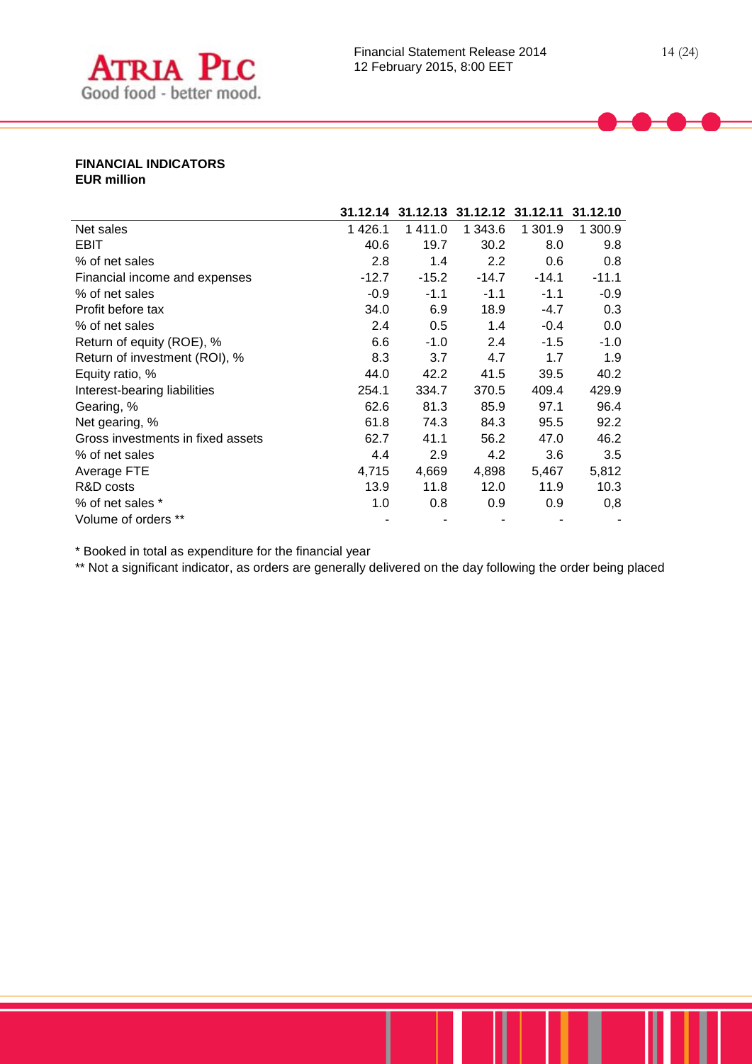

## **FINANCIAL INDICATORS EUR million**

|                                   | 31.12.14 |         | 31.12.13 31.12.12 31.12.11 |         | 31.12.10 |
|-----------------------------------|----------|---------|----------------------------|---------|----------|
| Net sales                         | 1426.1   | 1 411.0 | 1 343.6                    | 1 301.9 | 1 300.9  |
| <b>EBIT</b>                       | 40.6     | 19.7    | 30.2                       | 8.0     | 9.8      |
| % of net sales                    | 2.8      | 1.4     | 2.2                        | 0.6     | 0.8      |
| Financial income and expenses     | $-12.7$  | $-15.2$ | $-14.7$                    | $-14.1$ | $-11.1$  |
| % of net sales                    | $-0.9$   | $-1.1$  | $-1.1$                     | $-1.1$  | $-0.9$   |
| Profit before tax                 | 34.0     | 6.9     | 18.9                       | $-4.7$  | 0.3      |
| % of net sales                    | 2.4      | 0.5     | 1.4                        | $-0.4$  | $0.0\,$  |
| Return of equity (ROE), %         | 6.6      | $-1.0$  | 2.4                        | $-1.5$  | $-1.0$   |
| Return of investment (ROI), %     | 8.3      | 3.7     | 4.7                        | 1.7     | 1.9      |
| Equity ratio, %                   | 44.0     | 42.2    | 41.5                       | 39.5    | 40.2     |
| Interest-bearing liabilities      | 254.1    | 334.7   | 370.5                      | 409.4   | 429.9    |
| Gearing, %                        | 62.6     | 81.3    | 85.9                       | 97.1    | 96.4     |
| Net gearing, %                    | 61.8     | 74.3    | 84.3                       | 95.5    | 92.2     |
| Gross investments in fixed assets | 62.7     | 41.1    | 56.2                       | 47.0    | 46.2     |
| % of net sales                    | 4.4      | 2.9     | 4.2                        | 3.6     | 3.5      |
| Average FTE                       | 4,715    | 4,669   | 4,898                      | 5,467   | 5,812    |
| R&D costs                         | 13.9     | 11.8    | 12.0                       | 11.9    | 10.3     |
| % of net sales *                  | 1.0      | 0.8     | 0.9                        | 0.9     | 0,8      |
| Volume of orders **               |          |         |                            |         |          |

\* Booked in total as expenditure for the financial year

\*\* Not a significant indicator, as orders are generally delivered on the day following the order being placed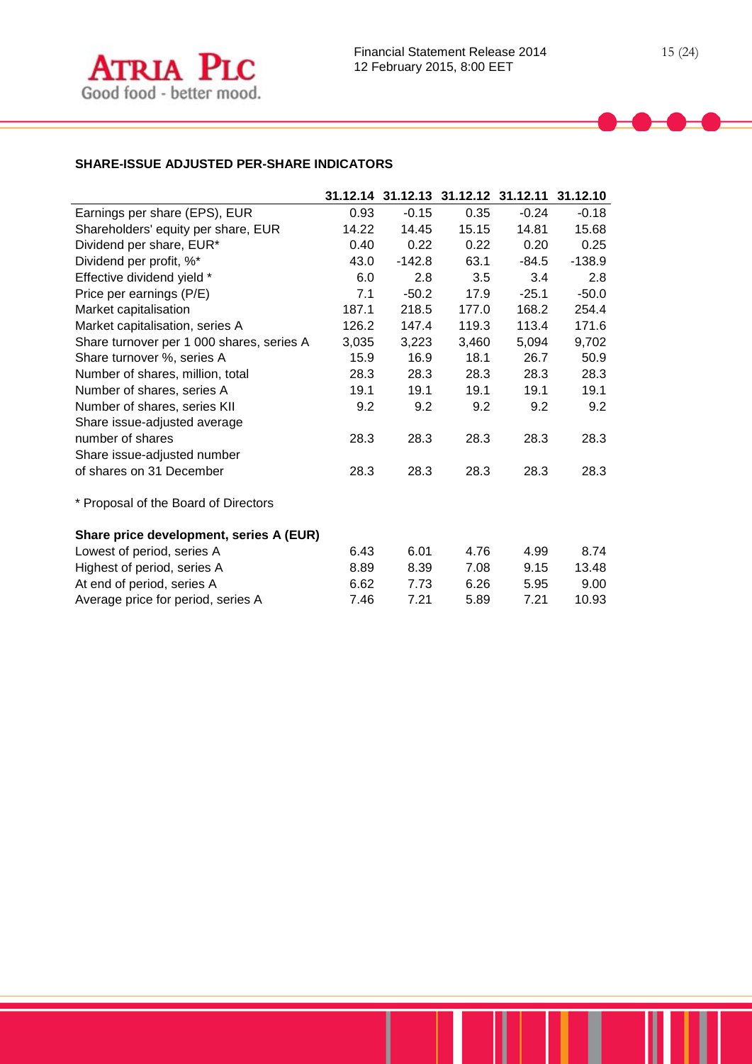

# **SHARE-ISSUE ADJUSTED PER-SHARE INDICATORS**

|                                           |       |          | 31.12.14 31.12.13 31.12.12 31.12.11 31.12.10 |         |          |
|-------------------------------------------|-------|----------|----------------------------------------------|---------|----------|
| Earnings per share (EPS), EUR             | 0.93  | $-0.15$  | 0.35                                         | $-0.24$ | $-0.18$  |
| Shareholders' equity per share, EUR       | 14.22 | 14.45    | 15.15                                        | 14.81   | 15.68    |
| Dividend per share, EUR*                  | 0.40  | 0.22     | 0.22                                         | 0.20    | 0.25     |
| Dividend per profit, %*                   | 43.0  | $-142.8$ | 63.1                                         | $-84.5$ | $-138.9$ |
| Effective dividend yield *                | 6.0   | 2.8      | 3.5                                          | 3.4     | 2.8      |
| Price per earnings (P/E)                  | 7.1   | $-50.2$  | 17.9                                         | $-25.1$ | $-50.0$  |
| Market capitalisation                     | 187.1 | 218.5    | 177.0                                        | 168.2   | 254.4    |
| Market capitalisation, series A           | 126.2 | 147.4    | 119.3                                        | 113.4   | 171.6    |
| Share turnover per 1 000 shares, series A | 3,035 | 3,223    | 3,460                                        | 5,094   | 9,702    |
| Share turnover %, series A                | 15.9  | 16.9     | 18.1                                         | 26.7    | 50.9     |
| Number of shares, million, total          | 28.3  | 28.3     | 28.3                                         | 28.3    | 28.3     |
| Number of shares, series A                | 19.1  | 19.1     | 19.1                                         | 19.1    | 19.1     |
| Number of shares, series KII              | 9.2   | 9.2      | 9.2                                          | 9.2     | 9.2      |
| Share issue-adjusted average              |       |          |                                              |         |          |
| number of shares                          | 28.3  | 28.3     | 28.3                                         | 28.3    | 28.3     |
| Share issue-adjusted number               |       |          |                                              |         |          |
| of shares on 31 December                  | 28.3  | 28.3     | 28.3                                         | 28.3    | 28.3     |
| * Proposal of the Board of Directors      |       |          |                                              |         |          |
| Share price development, series A (EUR)   |       |          |                                              |         |          |
| Lowest of period, series A                | 6.43  | 6.01     | 4.76                                         | 4.99    | 8.74     |
| Highest of period, series A               | 8.89  | 8.39     | 7.08                                         | 9.15    | 13.48    |
| At end of period, series A                | 6.62  | 7.73     | 6.26                                         | 5.95    | 9.00     |
| Average price for period, series A        | 7.46  | 7.21     | 5.89                                         | 7.21    | 10.93    |
|                                           |       |          |                                              |         |          |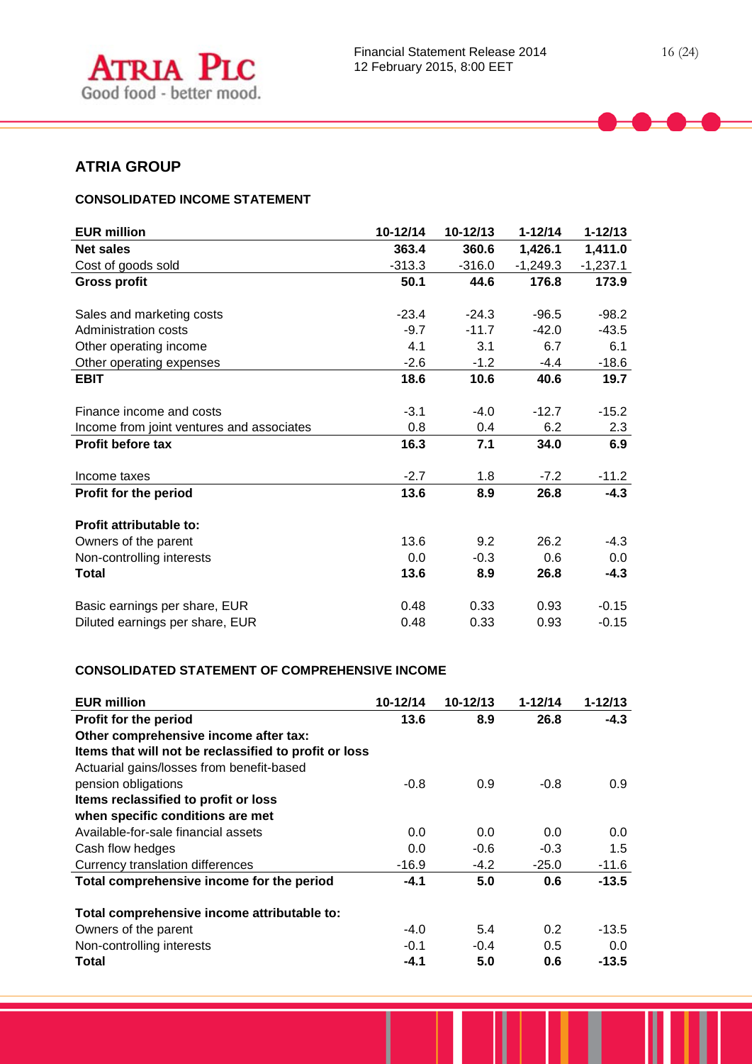

# **ATRIA GROUP**

# **CONSOLIDATED INCOME STATEMENT**

| <b>EUR million</b>                        | 10-12/14 | 10-12/13 | $1 - 12/14$ | $1 - 12/13$ |
|-------------------------------------------|----------|----------|-------------|-------------|
| <b>Net sales</b>                          | 363.4    | 360.6    | 1,426.1     | 1,411.0     |
| Cost of goods sold                        | $-313.3$ | $-316.0$ | $-1,249.3$  | $-1,237.1$  |
| <b>Gross profit</b>                       | 50.1     | 44.6     | 176.8       | 173.9       |
| Sales and marketing costs                 | $-23.4$  | $-24.3$  | $-96.5$     | $-98.2$     |
| Administration costs                      | $-9.7$   | $-11.7$  | $-42.0$     | $-43.5$     |
| Other operating income                    | 4.1      | 3.1      | 6.7         | 6.1         |
| Other operating expenses                  | $-2.6$   | $-1.2$   | $-4.4$      | $-18.6$     |
| <b>EBIT</b>                               | 18.6     | 10.6     | 40.6        | 19.7        |
|                                           |          |          |             |             |
| Finance income and costs                  | $-3.1$   | $-4.0$   | $-12.7$     | $-15.2$     |
| Income from joint ventures and associates | 0.8      | 0.4      | 6.2         | 2.3         |
| <b>Profit before tax</b>                  | 16.3     | 7.1      | 34.0        | 6.9         |
| Income taxes                              | $-2.7$   | 1.8      | $-7.2$      | $-11.2$     |
| Profit for the period                     | 13.6     | 8.9      | 26.8        | $-4.3$      |
| <b>Profit attributable to:</b>            |          |          |             |             |
| Owners of the parent                      | 13.6     | 9.2      | 26.2        | $-4.3$      |
| Non-controlling interests                 | 0.0      | $-0.3$   | 0.6         | 0.0         |
| Total                                     | 13.6     | 8.9      | 26.8        | $-4.3$      |
| Basic earnings per share, EUR             | 0.48     | 0.33     | 0.93        | $-0.15$     |
| Diluted earnings per share, EUR           | 0.48     | 0.33     | 0.93        | $-0.15$     |

## **CONSOLIDATED STATEMENT OF COMPREHENSIVE INCOME**

| <b>EUR million</b>                                    | 10-12/14 | 10-12/13 | $1 - 12/14$ | $1 - 12/13$ |
|-------------------------------------------------------|----------|----------|-------------|-------------|
| <b>Profit for the period</b>                          | 13.6     | 8.9      | 26.8        | $-4.3$      |
| Other comprehensive income after tax:                 |          |          |             |             |
| Items that will not be reclassified to profit or loss |          |          |             |             |
| Actuarial gains/losses from benefit-based             |          |          |             |             |
| pension obligations                                   | $-0.8$   | 0.9      | $-0.8$      | 0.9         |
| Items reclassified to profit or loss                  |          |          |             |             |
| when specific conditions are met                      |          |          |             |             |
| Available-for-sale financial assets                   | 0.0      | 0.0      | 0.0         | 0.0         |
| Cash flow hedges                                      | 0.0      | $-0.6$   | $-0.3$      | 1.5         |
| Currency translation differences                      | $-16.9$  | $-4.2$   | $-25.0$     | $-11.6$     |
| Total comprehensive income for the period             | $-4.1$   | 5.0      | 0.6         | $-13.5$     |
| Total comprehensive income attributable to:           |          |          |             |             |
| Owners of the parent                                  | $-4.0$   | 5.4      | 0.2         | $-13.5$     |
| Non-controlling interests                             | $-0.1$   | $-0.4$   | 0.5         | 0.0         |
| Total                                                 | -4.1     | 5.0      | 0.6         | $-13.5$     |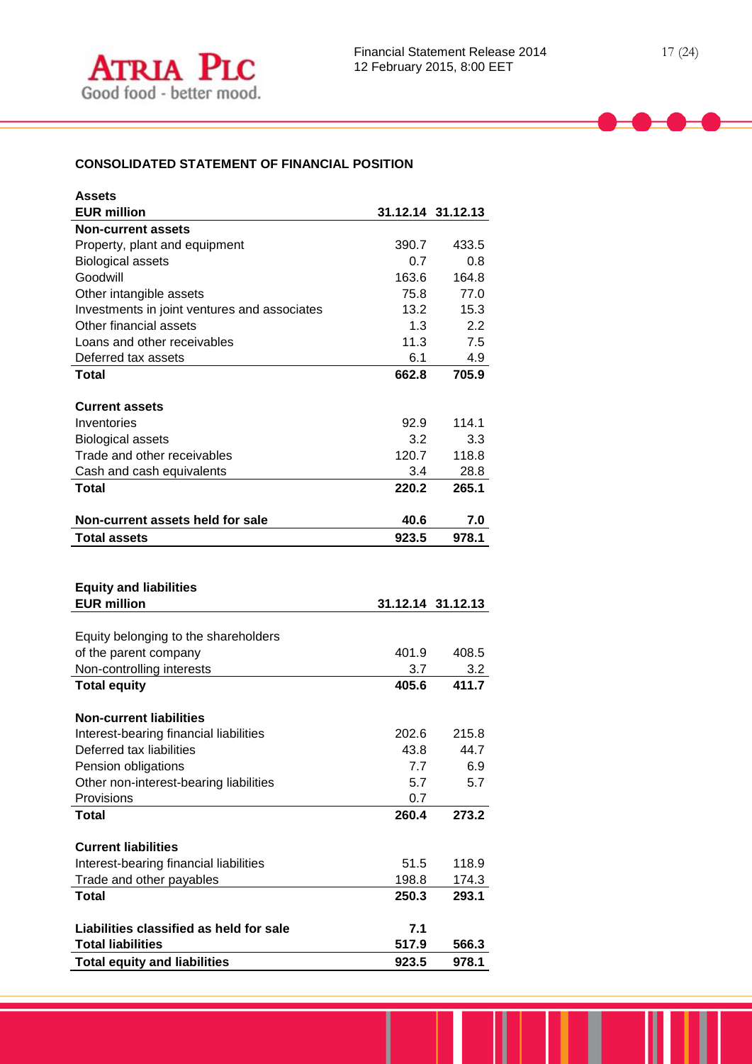# **CONSOLIDATED STATEMENT OF FINANCIAL POSITION**

| <b>Assets</b>                                                      |             |                   |
|--------------------------------------------------------------------|-------------|-------------------|
| <b>EUR million</b>                                                 |             | 31.12.14 31.12.13 |
| <b>Non-current assets</b>                                          |             |                   |
| Property, plant and equipment                                      | 390.7       | 433.5             |
| <b>Biological assets</b>                                           | 0.7         | 0.8               |
| Goodwill                                                           | 163.6       | 164.8             |
| Other intangible assets                                            | 75.8        | 77.0              |
| Investments in joint ventures and associates                       | 13.2        | 15.3              |
| Other financial assets                                             | 1.3         | 2.2               |
| Loans and other receivables                                        | 11.3        | 7.5               |
| Deferred tax assets                                                | 6.1         | 4.9               |
| <b>Total</b>                                                       | 662.8       | 705.9             |
|                                                                    |             |                   |
| <b>Current assets</b>                                              |             |                   |
| Inventories                                                        | 92.9        | 114.1             |
| <b>Biological assets</b>                                           | 3.2         | 3.3               |
| Trade and other receivables                                        | 120.7       | 118.8             |
| Cash and cash equivalents                                          | 3.4         | 28.8              |
| Total                                                              | 220.2       | 265.1             |
|                                                                    |             |                   |
| Non-current assets held for sale                                   | 40.6        | 7.0               |
| <b>Total assets</b>                                                | 923.5       | 978.1             |
|                                                                    |             |                   |
|                                                                    |             |                   |
|                                                                    |             |                   |
| <b>Equity and liabilities</b>                                      |             |                   |
| <b>EUR million</b>                                                 |             | 31.12.14 31.12.13 |
|                                                                    |             |                   |
| Equity belonging to the shareholders                               |             |                   |
| of the parent company                                              | 401.9       | 408.5             |
| Non-controlling interests                                          | 3.7         | 3.2               |
| <b>Total equity</b>                                                | 405.6       | 411.7             |
| <b>Non-current liabilities</b>                                     |             |                   |
|                                                                    | 202.6       | 215.8             |
| Interest-bearing financial liabilities<br>Deferred tax liabilities |             | 44.7              |
|                                                                    | 43.8<br>7.7 | 6.9               |
| Pension obligations                                                | 5.7         | 5.7               |
| Other non-interest-bearing liabilities<br>Provisions               | 0.7         |                   |
| <b>Total</b>                                                       | 260.4       | 273.2             |
|                                                                    |             |                   |
| <b>Current liabilities</b>                                         |             |                   |
| Interest-bearing financial liabilities                             | 51.5        | 118.9             |
| Trade and other payables                                           | 198.8       | 174.3             |
| <b>Total</b>                                                       | 250.3       | 293.1             |
|                                                                    |             |                   |
| Liabilities classified as held for sale                            | 7.1         |                   |
| <b>Total liabilities</b>                                           | 517.9       | 566.3             |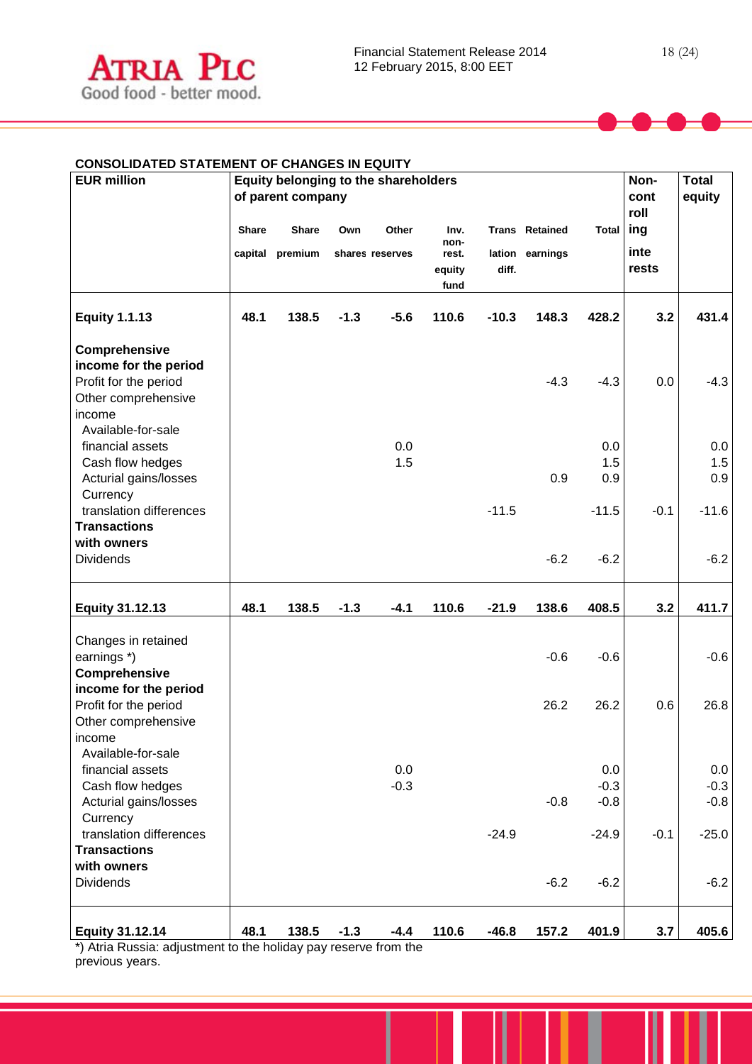

| <b>EUR million</b>                                                                               |       | Equity belonging to the shareholders<br>of parent company |        |                          |                                         |         |                                          | Non-<br>cont<br>roll    | <b>Total</b><br>equity |                         |
|--------------------------------------------------------------------------------------------------|-------|-----------------------------------------------------------|--------|--------------------------|-----------------------------------------|---------|------------------------------------------|-------------------------|------------------------|-------------------------|
|                                                                                                  | Share | <b>Share</b><br>capital premium                           | Own    | Other<br>shares reserves | Inv.<br>non-<br>rest.<br>equity<br>fund | diff.   | <b>Trans Retained</b><br>lation earnings | <b>Total</b>            | ing<br>inte<br>rests   |                         |
| <b>Equity 1.1.13</b>                                                                             | 48.1  | 138.5                                                     | $-1.3$ | $-5.6$                   | 110.6                                   | $-10.3$ | 148.3                                    | 428.2                   | 3.2                    | 431.4                   |
| Comprehensive<br>income for the period<br>Profit for the period<br>Other comprehensive<br>income |       |                                                           |        |                          |                                         |         | $-4.3$                                   | $-4.3$                  | 0.0                    | $-4.3$                  |
| Available-for-sale<br>financial assets<br>Cash flow hedges<br>Acturial gains/losses<br>Currency  |       |                                                           |        | 0.0<br>1.5               |                                         |         | 0.9                                      | 0.0<br>1.5<br>0.9       |                        | 0.0<br>1.5<br>0.9       |
| translation differences<br><b>Transactions</b><br>with owners<br><b>Dividends</b>                |       |                                                           |        |                          |                                         | $-11.5$ | $-6.2$                                   | $-11.5$<br>$-6.2$       | $-0.1$                 | $-11.6$<br>$-6.2$       |
| <b>Equity 31.12.13</b>                                                                           | 48.1  | 138.5                                                     | $-1.3$ | $-4.1$                   | 110.6                                   | $-21.9$ | 138.6                                    | 408.5                   | 3.2                    | 411.7                   |
| Changes in retained<br>earnings *)<br>Comprehensive                                              |       |                                                           |        |                          |                                         |         | $-0.6$                                   | $-0.6$                  |                        | $-0.6$                  |
| income for the period<br>Profit for the period<br>Other comprehensive<br>income                  |       |                                                           |        |                          |                                         |         | 26.2                                     | 26.2                    | 0.6                    | 26.8                    |
| Available-for-sale<br>financial assets<br>Cash flow hedges<br>Acturial gains/losses<br>Currency  |       |                                                           |        | 0.0<br>$-0.3$            |                                         |         | $-0.8$                                   | 0.0<br>$-0.3$<br>$-0.8$ |                        | 0.0<br>$-0.3$<br>$-0.8$ |
| translation differences<br><b>Transactions</b><br>with owners                                    |       |                                                           |        |                          |                                         | $-24.9$ |                                          | $-24.9$                 | $-0.1$                 | $-25.0$                 |
| <b>Dividends</b>                                                                                 |       |                                                           |        |                          |                                         |         | $-6.2$                                   | $-6.2$                  |                        | $-6.2$                  |
| <b>Equity 31.12.14</b><br>*) Atrio Puccio: adjustment to the holiday nay reserve from the        | 48.1  | 138.5                                                     | $-1.3$ | $-4.4$                   | 110.6                                   | $-46.8$ | 157.2                                    | 401.9                   | 3.7                    | 405.6                   |

\*) Atria Russia: adjustment to the holiday pay reserve from the previous years.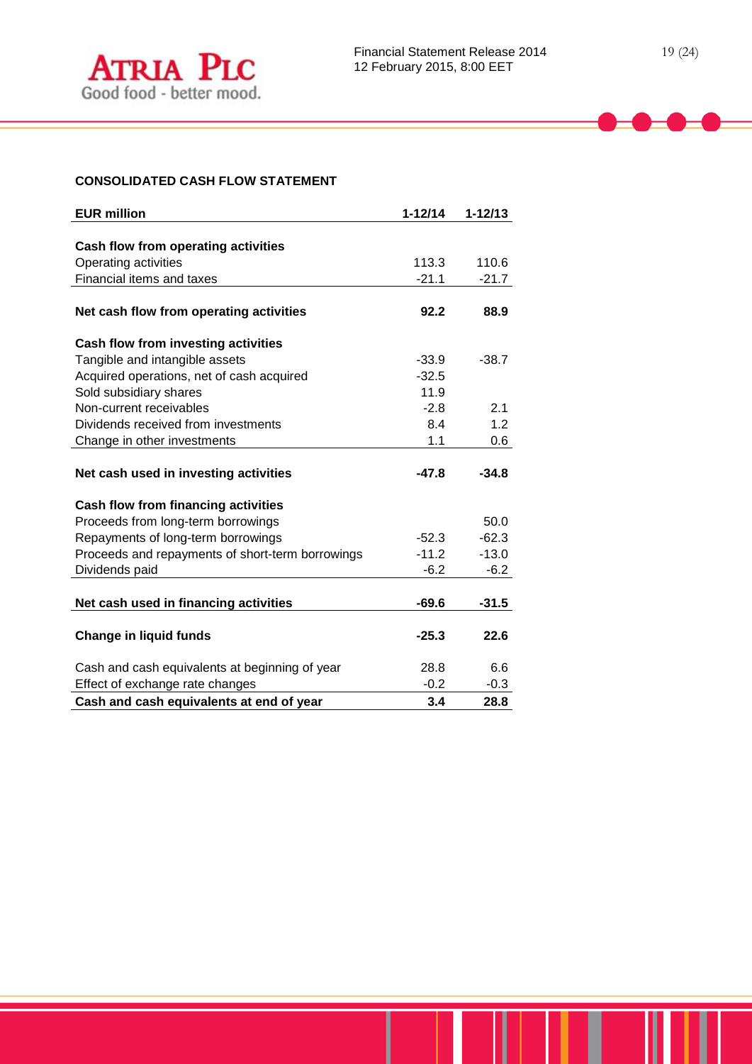## **CONSOLIDATED CASH FLOW STATEMENT**

| <b>EUR million</b>                               | $1 - 12/14$ | $1 - 12/13$ |
|--------------------------------------------------|-------------|-------------|
|                                                  |             |             |
| Cash flow from operating activities              |             |             |
| Operating activities                             | 113.3       | 110.6       |
| Financial items and taxes                        | $-21.1$     | $-21.7$     |
|                                                  |             |             |
| Net cash flow from operating activities          | 92.2        | 88.9        |
| <b>Cash flow from investing activities</b>       |             |             |
| Tangible and intangible assets                   | $-33.9$     | $-38.7$     |
| Acquired operations, net of cash acquired        | $-32.5$     |             |
| Sold subsidiary shares                           | 11.9        |             |
| Non-current receivables                          | $-2.8$      | 2.1         |
| Dividends received from investments              | 8.4         | 1.2         |
| Change in other investments                      | 1.1         | 0.6         |
|                                                  |             |             |
| Net cash used in investing activities            | $-47.8$     | $-34.8$     |
| Cash flow from financing activities              |             |             |
| Proceeds from long-term borrowings               |             | 50.0        |
| Repayments of long-term borrowings               | $-52.3$     | $-62.3$     |
| Proceeds and repayments of short-term borrowings | $-11.2$     | $-13.0$     |
| Dividends paid                                   | $-6.2$      | $-6.2$      |
|                                                  |             |             |
| Net cash used in financing activities            | $-69.6$     | $-31.5$     |
|                                                  |             |             |
| <b>Change in liquid funds</b>                    | $-25.3$     | 22.6        |
| Cash and cash equivalents at beginning of year   | 28.8        | 6.6         |
| Effect of exchange rate changes                  | $-0.2$      | $-0.3$      |
| Cash and cash equivalents at end of year         | 3.4         | 28.8        |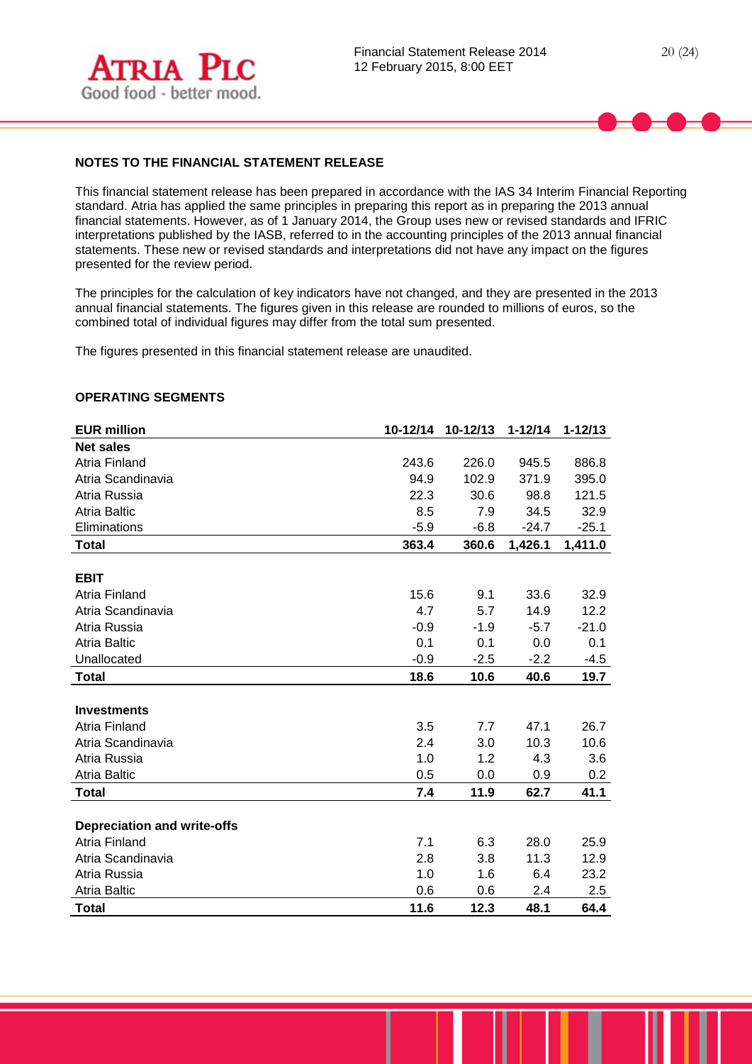

# **NOTES TO THE FINANCIAL STATEMENT RELEASE**

This financial statement release has been prepared in accordance with the IAS 34 Interim Financial Reporting standard. Atria has applied the same principles in preparing this report as in preparing the 2013 annual financial statements. However, as of 1 January 2014, the Group uses new or revised standards and IFRIC interpretations published by the IASB, referred to in the accounting principles of the 2013 annual financial statements. These new or revised standards and interpretations did not have any impact on the figures presented for the review period.

The principles for the calculation of key indicators have not changed, and they are presented in the 2013 annual financial statements. The figures given in this release are rounded to millions of euros, so the combined total of individual figures may differ from the total sum presented.

The figures presented in this financial statement release are unaudited.

## **OPERATING SEGMENTS**

| <b>EUR million</b>                 | 10-12/14 | 10-12/13 | $1 - 12/14$ | $1 - 12/13$ |
|------------------------------------|----------|----------|-------------|-------------|
| <b>Net sales</b>                   |          |          |             |             |
| <b>Atria Finland</b>               | 243.6    | 226.0    | 945.5       | 886.8       |
| Atria Scandinavia                  | 94.9     | 102.9    | 371.9       | 395.0       |
| Atria Russia                       | 22.3     | 30.6     | 98.8        | 121.5       |
| <b>Atria Baltic</b>                | 8.5      | 7.9      | 34.5        | 32.9        |
| Eliminations                       | $-5.9$   | $-6.8$   | $-24.7$     | $-25.1$     |
| <b>Total</b>                       | 363.4    | 360.6    | 1,426.1     | 1,411.0     |
|                                    |          |          |             |             |
| <b>EBIT</b>                        |          |          |             |             |
| Atria Finland                      | 15.6     | 9.1      | 33.6        | 32.9        |
| Atria Scandinavia                  | 4.7      | 5.7      | 14.9        | 12.2        |
| Atria Russia                       | $-0.9$   | $-1.9$   | $-5.7$      | $-21.0$     |
| <b>Atria Baltic</b>                | 0.1      | 0.1      | 0.0         | 0.1         |
| Unallocated                        | $-0.9$   | $-2.5$   | $-2.2$      | $-4.5$      |
| <b>Total</b>                       | 18.6     | 10.6     | 40.6        | 19.7        |
|                                    |          |          |             |             |
| <b>Investments</b>                 |          |          |             |             |
| Atria Finland                      | 3.5      | 7.7      | 47.1        | 26.7        |
| Atria Scandinavia                  | 2.4      | 3.0      | 10.3        | 10.6        |
| Atria Russia                       | 1.0      | 1.2      | 4.3         | 3.6         |
| <b>Atria Baltic</b>                | 0.5      | 0.0      | 0.9         | 0.2         |
| <b>Total</b>                       | 7.4      | 11.9     | 62.7        | 41.1        |
|                                    |          |          |             |             |
| <b>Depreciation and write-offs</b> |          |          |             |             |
| Atria Finland                      | 7.1      | 6.3      | 28.0        | 25.9        |
| Atria Scandinavia                  | 2.8      | 3.8      | 11.3        | 12.9        |
| Atria Russia                       | 1.0      | 1.6      | 6.4         | 23.2        |
| <b>Atria Baltic</b>                | 0.6      | 0.6      | 2.4         | 2.5         |
| <b>Total</b>                       | 11.6     | 12.3     | 48.1        | 64.4        |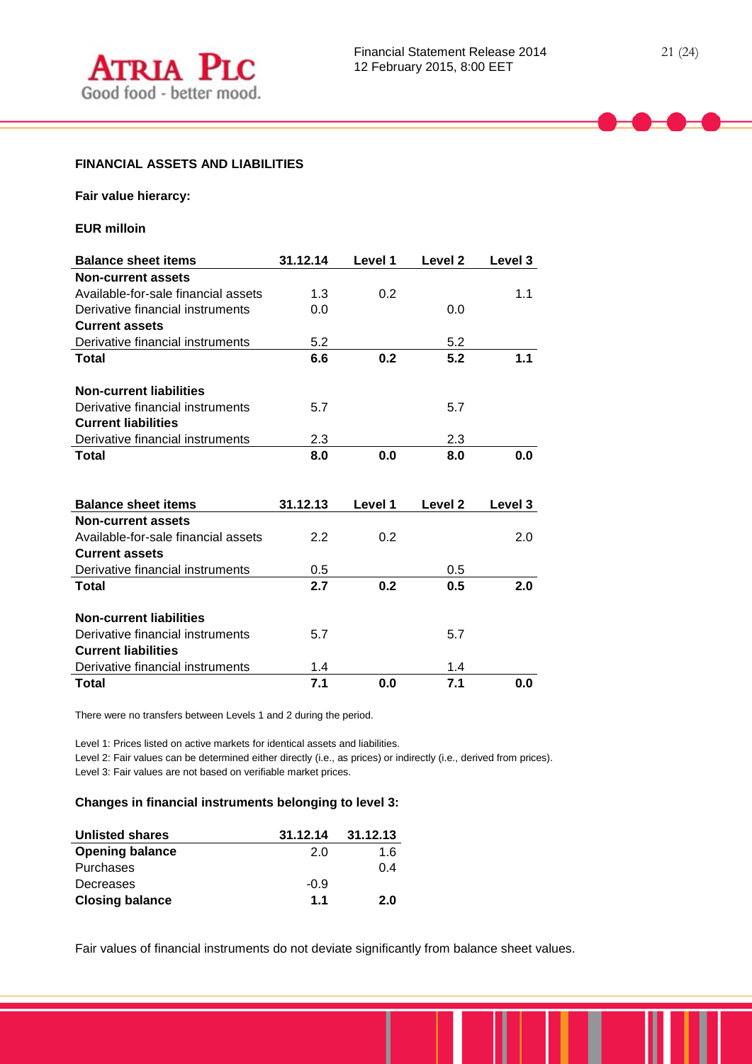**Fair value hierarcy:**

**EUR milloin**

| <b>Balance sheet items</b>          | 31.12.14 | Level 1 | Level <sub>2</sub> | Level 3 |
|-------------------------------------|----------|---------|--------------------|---------|
| <b>Non-current assets</b>           |          |         |                    |         |
| Available-for-sale financial assets | 1.3      | 0.2     |                    | 1.1     |
| Derivative financial instruments    | 0.0      |         | 0.0                |         |
| <b>Current assets</b>               |          |         |                    |         |
| Derivative financial instruments    | 5.2      |         | 5.2                |         |
| Total                               | 6.6      | 0.2     | 5.2                | 1.1     |
|                                     |          |         |                    |         |
| <b>Non-current liabilities</b>      |          |         |                    |         |
| Derivative financial instruments    | 5.7      |         | 5.7                |         |
| <b>Current liabilities</b>          |          |         |                    |         |
| Derivative financial instruments    | 2.3      |         | 2.3                |         |
| Total                               | 8.0      | 0.0     | 8.0                | 0.0     |
|                                     |          |         |                    |         |
|                                     |          |         |                    |         |
|                                     |          |         |                    |         |
| <b>Balance sheet items</b>          | 31.12.13 | Level 1 | Level <sub>2</sub> | Level 3 |
| <b>Non-current assets</b>           |          |         |                    |         |
| Available-for-sale financial assets | 2.2      | 0.2     |                    | 2.0     |
| <b>Current assets</b>               |          |         |                    |         |
| Derivative financial instruments    | 0.5      |         | 0.5                |         |
| Total                               | 2.7      | 0.2     | 0.5                | 2.0     |
|                                     |          |         |                    |         |
| <b>Non-current liabilities</b>      |          |         |                    |         |
| Derivative financial instruments    | 5.7      |         | 5.7                |         |
| <b>Current liabilities</b>          |          |         |                    |         |
| Derivative financial instruments    | 1.4      |         | 1.4                |         |

There were no transfers between Levels 1 and 2 during the period.

Level 1: Prices listed on active markets for identical assets and liabilities.

Level 2: Fair values can be determined either directly (i.e., as prices) or indirectly (i.e., derived from prices). Level 3: Fair values are not based on verifiable market prices.

## **Changes in financial instruments belonging to level 3:**

| <b>Unlisted shares</b> | 31.12.14 | 31.12.13 |
|------------------------|----------|----------|
| <b>Opening balance</b> | 2.0      | 1.6      |
| Purchases              |          | 0.4      |
| Decreases              | $-0.9$   |          |
| <b>Closing balance</b> | 1.1      | 2.0      |

Fair values of financial instruments do not deviate significantly from balance sheet values.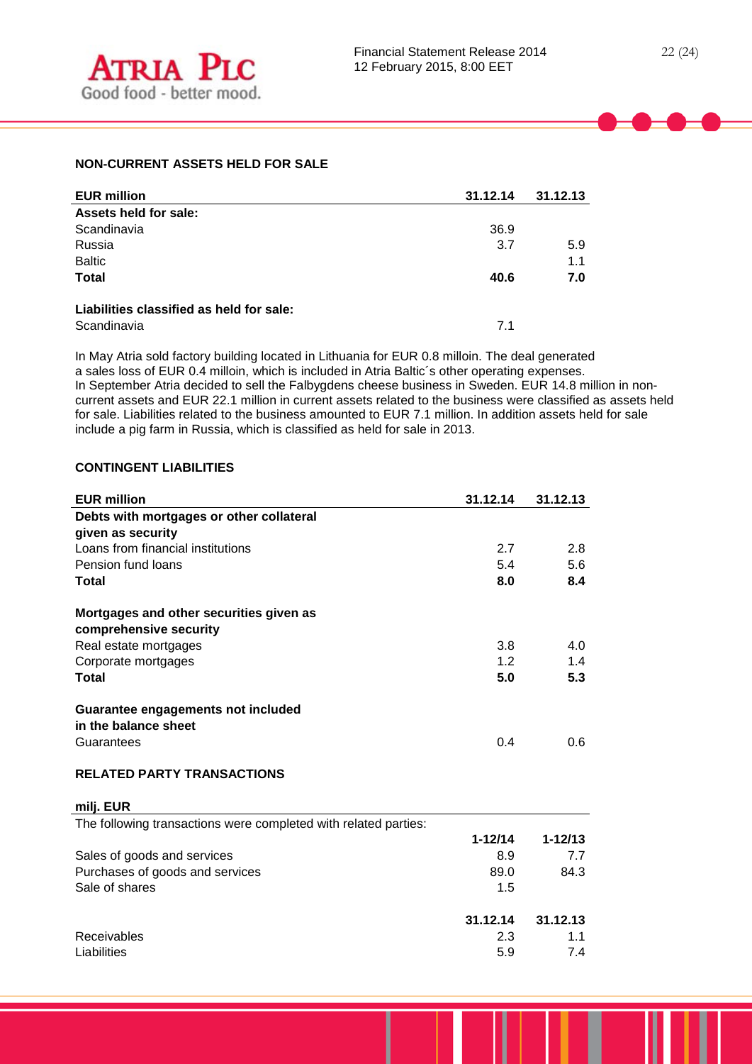# **NON-CURRENT ASSETS HELD FOR SALE**

| <b>EUR million</b>                       | 31.12.14 | 31.12.13 |
|------------------------------------------|----------|----------|
| Assets held for sale:                    |          |          |
| Scandinavia                              | 36.9     |          |
| Russia                                   | 3.7      | 5.9      |
| <b>Baltic</b>                            |          | 1.1      |
| <b>Total</b>                             | 40.6     | 7.0      |
| Liabilities classified as held for sale: |          |          |
| Scandinavia                              | 7.1      |          |

In May Atria sold factory building located in Lithuania for EUR 0.8 milloin. The deal generated a sales loss of EUR 0.4 milloin, which is included in Atria Baltic´s other operating expenses. In September Atria decided to sell the Falbygdens cheese business in Sweden. EUR 14.8 million in noncurrent assets and EUR 22.1 million in current assets related to the business were classified as assets held for sale. Liabilities related to the business amounted to EUR 7.1 million. In addition assets held for sale include a pig farm in Russia, which is classified as held for sale in 2013.

## **CONTINGENT LIABILITIES**

| <b>EUR million</b>                                              | 31.12.14    | 31.12.13    |
|-----------------------------------------------------------------|-------------|-------------|
| Debts with mortgages or other collateral                        |             |             |
| given as security                                               |             |             |
| Loans from financial institutions                               | 2.7         | 2.8         |
| Pension fund loans                                              | 5.4         | 5.6         |
| <b>Total</b>                                                    | 8.0         | 8.4         |
| Mortgages and other securities given as                         |             |             |
| comprehensive security                                          |             |             |
| Real estate mortgages                                           | 3.8         | 4.0         |
| Corporate mortgages                                             | 1.2         | 1.4         |
| Total                                                           | 5.0         | 5.3         |
| Guarantee engagements not included                              |             |             |
| in the balance sheet                                            |             |             |
| Guarantees                                                      | 0.4         | 0.6         |
| <b>RELATED PARTY TRANSACTIONS</b>                               |             |             |
| milj. EUR                                                       |             |             |
| The following transactions were completed with related parties: |             |             |
|                                                                 | $1 - 12/14$ | $1 - 12/13$ |
| Sales of goods and services                                     | 8.9         | 7.7         |
| Purchases of goods and services                                 | 89.0        | 84.3        |
| Sale of shares                                                  | 1.5         |             |
|                                                                 | 31.12.14    | 31.12.13    |
| Receivables                                                     | 2.3         | 1.1         |
| Liabilities                                                     | 5.9         | 7.4         |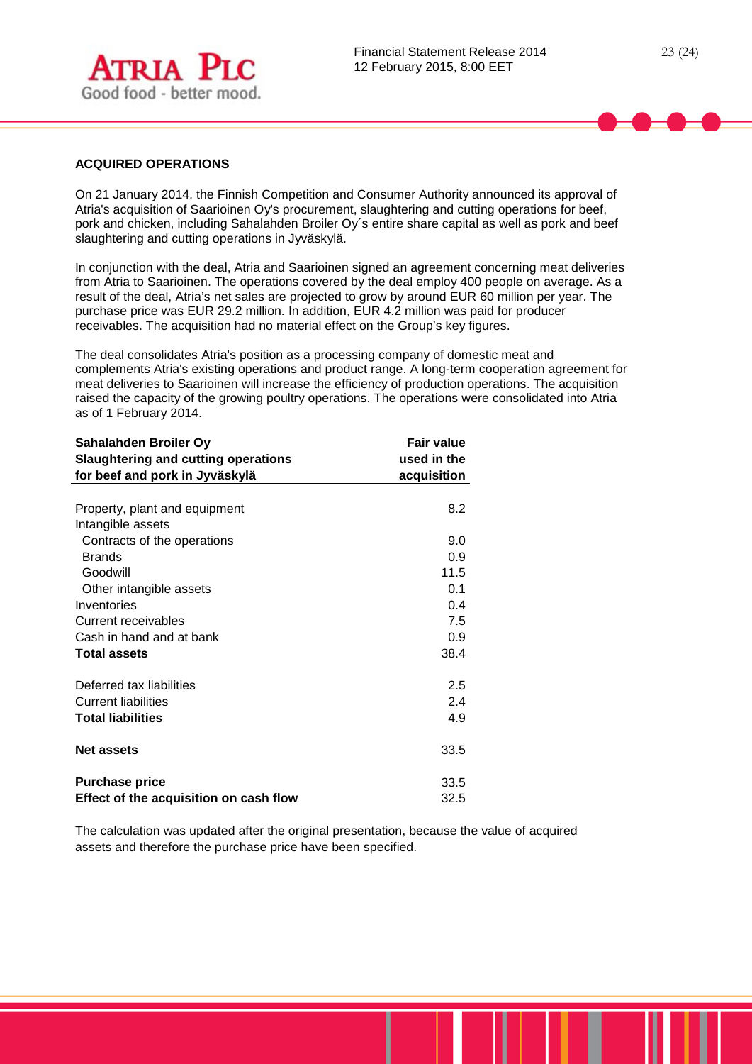

## **ACQUIRED OPERATIONS**

On 21 January 2014, the Finnish Competition and Consumer Authority announced its approval of Atria's acquisition of Saarioinen Oy's procurement, slaughtering and cutting operations for beef, pork and chicken, including Sahalahden Broiler Oy´s entire share capital as well as pork and beef slaughtering and cutting operations in Jyväskylä.

In conjunction with the deal, Atria and Saarioinen signed an agreement concerning meat deliveries from Atria to Saarioinen. The operations covered by the deal employ 400 people on average. As a result of the deal, Atria's net sales are projected to grow by around EUR 60 million per year. The purchase price was EUR 29.2 million. In addition, EUR 4.2 million was paid for producer receivables. The acquisition had no material effect on the Group's key figures.

The deal consolidates Atria's position as a processing company of domestic meat and complements Atria's existing operations and product range. A long-term cooperation agreement for meat deliveries to Saarioinen will increase the efficiency of production operations. The acquisition raised the capacity of the growing poultry operations. The operations were consolidated into Atria as of 1 February 2014.

| Sahalahden Broiler Oy<br><b>Slaughtering and cutting operations</b><br>for beef and pork in Jyväskylä | <b>Fair value</b><br>used in the<br>acquisition |
|-------------------------------------------------------------------------------------------------------|-------------------------------------------------|
|                                                                                                       |                                                 |
| Property, plant and equipment                                                                         | 8.2                                             |
| Intangible assets                                                                                     |                                                 |
| Contracts of the operations                                                                           | 9.0                                             |
| <b>Brands</b>                                                                                         | 0.9                                             |
| Goodwill                                                                                              | 11.5                                            |
| Other intangible assets                                                                               | 0.1                                             |
| Inventories                                                                                           | 0.4                                             |
| Current receivables                                                                                   | 7.5                                             |
| Cash in hand and at bank                                                                              | 0.9                                             |
| <b>Total assets</b>                                                                                   | 38.4                                            |
| Deferred tax liabilities                                                                              | 2.5                                             |
| Current liabilities                                                                                   | 2.4                                             |
| <b>Total liabilities</b>                                                                              | 4.9                                             |
| <b>Net assets</b>                                                                                     | 33.5                                            |
| <b>Purchase price</b>                                                                                 | 33.5                                            |
| Effect of the acquisition on cash flow                                                                | 32.5                                            |

The calculation was updated after the original presentation, because the value of acquired assets and therefore the purchase price have been specified.